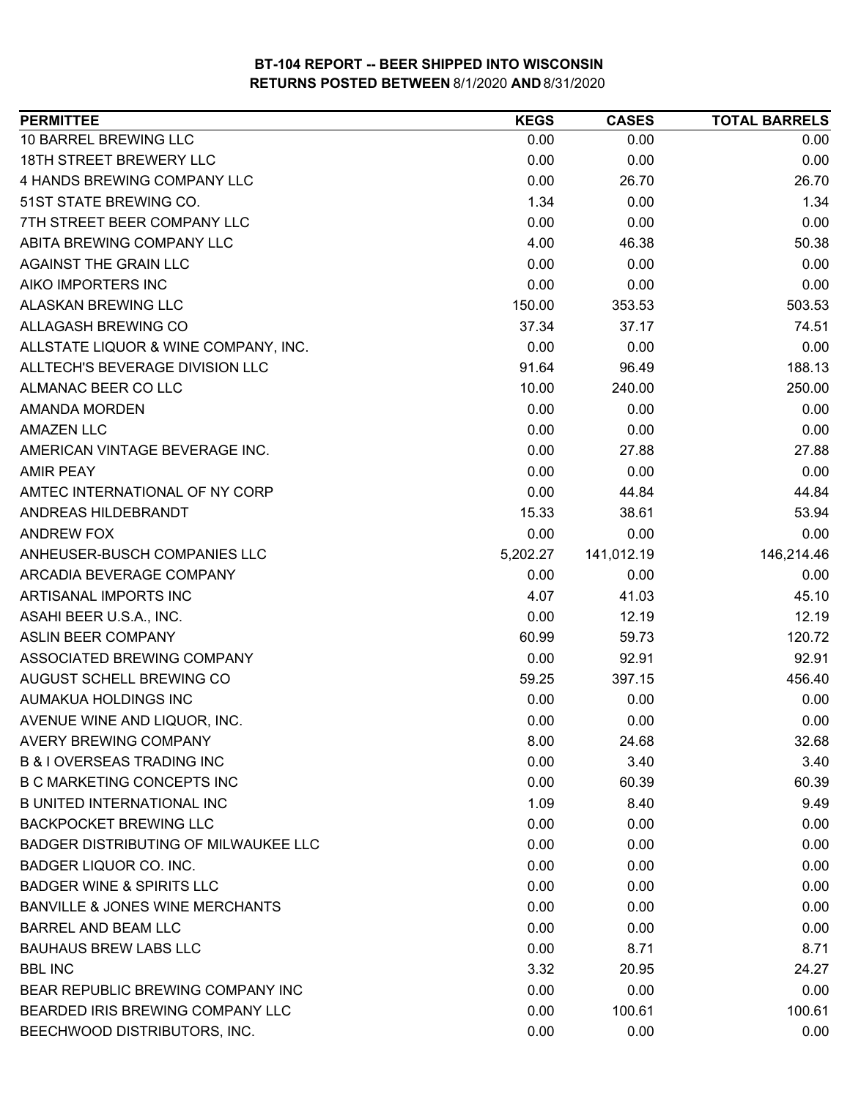| <b>PERMITTEE</b>                            | <b>KEGS</b> | <b>CASES</b> | <b>TOTAL BARRELS</b> |
|---------------------------------------------|-------------|--------------|----------------------|
| 10 BARREL BREWING LLC                       | 0.00        | 0.00         | 0.00                 |
| 18TH STREET BREWERY LLC                     | 0.00        | 0.00         | 0.00                 |
| 4 HANDS BREWING COMPANY LLC                 | 0.00        | 26.70        | 26.70                |
| 51ST STATE BREWING CO.                      | 1.34        | 0.00         | 1.34                 |
| 7TH STREET BEER COMPANY LLC                 | 0.00        | 0.00         | 0.00                 |
| ABITA BREWING COMPANY LLC                   | 4.00        | 46.38        | 50.38                |
| <b>AGAINST THE GRAIN LLC</b>                | 0.00        | 0.00         | 0.00                 |
| AIKO IMPORTERS INC                          | 0.00        | 0.00         | 0.00                 |
| <b>ALASKAN BREWING LLC</b>                  | 150.00      | 353.53       | 503.53               |
| ALLAGASH BREWING CO                         | 37.34       | 37.17        | 74.51                |
| ALLSTATE LIQUOR & WINE COMPANY, INC.        | 0.00        | 0.00         | 0.00                 |
| ALLTECH'S BEVERAGE DIVISION LLC             | 91.64       | 96.49        | 188.13               |
| ALMANAC BEER CO LLC                         | 10.00       | 240.00       | 250.00               |
| <b>AMANDA MORDEN</b>                        | 0.00        | 0.00         | 0.00                 |
| <b>AMAZEN LLC</b>                           | 0.00        | 0.00         | 0.00                 |
| AMERICAN VINTAGE BEVERAGE INC.              | 0.00        | 27.88        | 27.88                |
| <b>AMIR PEAY</b>                            | 0.00        | 0.00         | 0.00                 |
| AMTEC INTERNATIONAL OF NY CORP              | 0.00        | 44.84        | 44.84                |
| ANDREAS HILDEBRANDT                         | 15.33       | 38.61        | 53.94                |
| ANDREW FOX                                  | 0.00        | 0.00         | 0.00                 |
| ANHEUSER-BUSCH COMPANIES LLC                | 5,202.27    | 141,012.19   | 146,214.46           |
| ARCADIA BEVERAGE COMPANY                    | 0.00        | 0.00         | 0.00                 |
| ARTISANAL IMPORTS INC                       | 4.07        | 41.03        | 45.10                |
| ASAHI BEER U.S.A., INC.                     | 0.00        | 12.19        | 12.19                |
| <b>ASLIN BEER COMPANY</b>                   | 60.99       | 59.73        | 120.72               |
| ASSOCIATED BREWING COMPANY                  | 0.00        | 92.91        | 92.91                |
| AUGUST SCHELL BREWING CO                    | 59.25       | 397.15       | 456.40               |
| AUMAKUA HOLDINGS INC                        | 0.00        | 0.00         | 0.00                 |
| AVENUE WINE AND LIQUOR, INC.                | 0.00        | 0.00         | 0.00                 |
| <b>AVERY BREWING COMPANY</b>                | 8.00        | 24.68        | 32.68                |
| <b>B &amp; LOVERSEAS TRADING INC.</b>       | 0.00        | 3.40         | 3.40                 |
| <b>B C MARKETING CONCEPTS INC</b>           | 0.00        | 60.39        | 60.39                |
| <b>B UNITED INTERNATIONAL INC</b>           | 1.09        | 8.40         | 9.49                 |
| <b>BACKPOCKET BREWING LLC</b>               | 0.00        | 0.00         | 0.00                 |
| <b>BADGER DISTRIBUTING OF MILWAUKEE LLC</b> | 0.00        | 0.00         | 0.00                 |
| <b>BADGER LIQUOR CO. INC.</b>               | 0.00        | 0.00         | 0.00                 |
| <b>BADGER WINE &amp; SPIRITS LLC</b>        | 0.00        | 0.00         | 0.00                 |
| <b>BANVILLE &amp; JONES WINE MERCHANTS</b>  | 0.00        | 0.00         | 0.00                 |
| <b>BARREL AND BEAM LLC</b>                  | 0.00        | 0.00         | 0.00                 |
| <b>BAUHAUS BREW LABS LLC</b>                | 0.00        | 8.71         | 8.71                 |
| <b>BBL INC</b>                              | 3.32        | 20.95        | 24.27                |
| BEAR REPUBLIC BREWING COMPANY INC           | 0.00        | 0.00         | 0.00                 |
| BEARDED IRIS BREWING COMPANY LLC            | 0.00        | 100.61       | 100.61               |
| BEECHWOOD DISTRIBUTORS, INC.                | 0.00        | 0.00         | 0.00                 |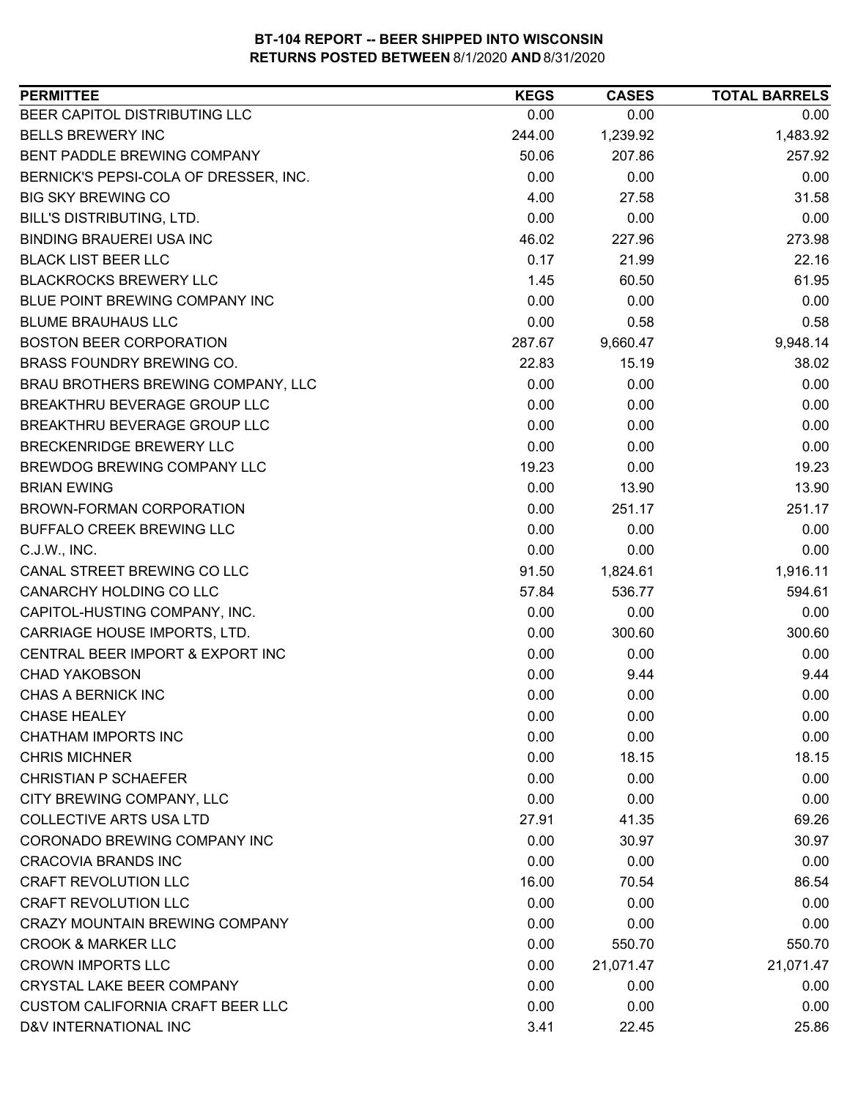| BEER CAPITOL DISTRIBUTING LLC<br>0.00<br>0.00<br>0.00<br><b>BELLS BREWERY INC</b><br>1,483.92<br>244.00<br>1,239.92<br>207.86<br>BENT PADDLE BREWING COMPANY<br>50.06<br>257.92<br>0.00<br>0.00<br>0.00<br>BERNICK'S PEPSI-COLA OF DRESSER, INC.<br>4.00<br>31.58<br><b>BIG SKY BREWING CO</b><br>27.58<br>BILL'S DISTRIBUTING, LTD.<br>0.00<br>0.00<br>0.00<br><b>BINDING BRAUEREI USA INC</b><br>273.98<br>46.02<br>227.96<br>0.17<br><b>BLACK LIST BEER LLC</b><br>21.99<br>22.16<br><b>BLACKROCKS BREWERY LLC</b><br>1.45<br>61.95<br>60.50<br>BLUE POINT BREWING COMPANY INC<br>0.00<br>0.00<br>0.00<br><b>BLUME BRAUHAUS LLC</b><br>0.00<br>0.58<br>0.58<br><b>BOSTON BEER CORPORATION</b><br>287.67<br>9,660.47<br>9,948.14<br>BRASS FOUNDRY BREWING CO.<br>22.83<br>15.19<br>38.02<br>BRAU BROTHERS BREWING COMPANY, LLC<br>0.00<br>0.00<br>0.00<br>BREAKTHRU BEVERAGE GROUP LLC<br>0.00<br>0.00<br>0.00<br>0.00<br>BREAKTHRU BEVERAGE GROUP LLC<br>0.00<br>0.00<br>BRECKENRIDGE BREWERY LLC<br>0.00<br>0.00<br>0.00<br>BREWDOG BREWING COMPANY LLC<br>19.23<br>19.23<br>0.00<br>0.00<br><b>BRIAN EWING</b><br>13.90<br>13.90<br>0.00<br>251.17<br>BROWN-FORMAN CORPORATION<br>251.17<br>0.00<br>BUFFALO CREEK BREWING LLC<br>0.00<br>0.00<br>0.00<br>C.J.W., INC.<br>0.00<br>0.00<br>CANAL STREET BREWING CO LLC<br>1,916.11<br>91.50<br>1,824.61<br>CANARCHY HOLDING CO LLC<br>57.84<br>594.61<br>536.77<br>CAPITOL-HUSTING COMPANY, INC.<br>0.00<br>0.00<br>0.00<br>CARRIAGE HOUSE IMPORTS, LTD.<br>0.00<br>300.60<br>300.60<br>CENTRAL BEER IMPORT & EXPORT INC<br>0.00<br>0.00<br>0.00<br><b>CHAD YAKOBSON</b><br>0.00<br>9.44<br>9.44<br>0.00<br><b>CHAS A BERNICK INC</b><br>0.00<br>0.00<br>0.00<br>0.00<br>0.00<br><b>CHASE HEALEY</b><br>0.00<br><b>CHATHAM IMPORTS INC</b><br>0.00<br>0.00<br><b>CHRIS MICHNER</b><br>0.00<br>18.15<br>18.15<br><b>CHRISTIAN P SCHAEFER</b><br>0.00<br>0.00<br>0.00<br>0.00<br>CITY BREWING COMPANY, LLC<br>0.00<br>0.00<br><b>COLLECTIVE ARTS USA LTD</b><br>27.91<br>69.26<br>41.35<br>CORONADO BREWING COMPANY INC<br>0.00<br>30.97<br>30.97<br><b>CRACOVIA BRANDS INC</b><br>0.00<br>0.00<br>0.00<br><b>CRAFT REVOLUTION LLC</b><br>16.00<br>86.54<br>70.54<br><b>CRAFT REVOLUTION LLC</b><br>0.00<br>0.00<br>0.00<br><b>CRAZY MOUNTAIN BREWING COMPANY</b><br>0.00<br>0.00<br>0.00<br><b>CROOK &amp; MARKER LLC</b><br>0.00<br>550.70<br>550.70<br><b>CROWN IMPORTS LLC</b><br>21,071.47<br>0.00<br>21,071.47<br>CRYSTAL LAKE BEER COMPANY<br>0.00<br>0.00<br>0.00<br><b>CUSTOM CALIFORNIA CRAFT BEER LLC</b><br>0.00<br>0.00<br>0.00<br>D&V INTERNATIONAL INC<br>3.41<br>25.86<br>22.45 | <b>PERMITTEE</b> | <b>KEGS</b> | <b>CASES</b> | <b>TOTAL BARRELS</b> |
|--------------------------------------------------------------------------------------------------------------------------------------------------------------------------------------------------------------------------------------------------------------------------------------------------------------------------------------------------------------------------------------------------------------------------------------------------------------------------------------------------------------------------------------------------------------------------------------------------------------------------------------------------------------------------------------------------------------------------------------------------------------------------------------------------------------------------------------------------------------------------------------------------------------------------------------------------------------------------------------------------------------------------------------------------------------------------------------------------------------------------------------------------------------------------------------------------------------------------------------------------------------------------------------------------------------------------------------------------------------------------------------------------------------------------------------------------------------------------------------------------------------------------------------------------------------------------------------------------------------------------------------------------------------------------------------------------------------------------------------------------------------------------------------------------------------------------------------------------------------------------------------------------------------------------------------------------------------------------------------------------------------------------------------------------------------------------------------------------------------------------------------------------------------------------------------------------------------------------------------------------------------------------------------------------------------------------------------------------------------------------------------------------------------------------------------------------------------------------------------------------------------------------------------------------------------------------------------------------------------------------------------------------|------------------|-------------|--------------|----------------------|
|                                                                                                                                                                                                                                                                                                                                                                                                                                                                                                                                                                                                                                                                                                                                                                                                                                                                                                                                                                                                                                                                                                                                                                                                                                                                                                                                                                                                                                                                                                                                                                                                                                                                                                                                                                                                                                                                                                                                                                                                                                                                                                                                                                                                                                                                                                                                                                                                                                                                                                                                                                                                                                                  |                  |             |              |                      |
|                                                                                                                                                                                                                                                                                                                                                                                                                                                                                                                                                                                                                                                                                                                                                                                                                                                                                                                                                                                                                                                                                                                                                                                                                                                                                                                                                                                                                                                                                                                                                                                                                                                                                                                                                                                                                                                                                                                                                                                                                                                                                                                                                                                                                                                                                                                                                                                                                                                                                                                                                                                                                                                  |                  |             |              |                      |
|                                                                                                                                                                                                                                                                                                                                                                                                                                                                                                                                                                                                                                                                                                                                                                                                                                                                                                                                                                                                                                                                                                                                                                                                                                                                                                                                                                                                                                                                                                                                                                                                                                                                                                                                                                                                                                                                                                                                                                                                                                                                                                                                                                                                                                                                                                                                                                                                                                                                                                                                                                                                                                                  |                  |             |              |                      |
|                                                                                                                                                                                                                                                                                                                                                                                                                                                                                                                                                                                                                                                                                                                                                                                                                                                                                                                                                                                                                                                                                                                                                                                                                                                                                                                                                                                                                                                                                                                                                                                                                                                                                                                                                                                                                                                                                                                                                                                                                                                                                                                                                                                                                                                                                                                                                                                                                                                                                                                                                                                                                                                  |                  |             |              |                      |
|                                                                                                                                                                                                                                                                                                                                                                                                                                                                                                                                                                                                                                                                                                                                                                                                                                                                                                                                                                                                                                                                                                                                                                                                                                                                                                                                                                                                                                                                                                                                                                                                                                                                                                                                                                                                                                                                                                                                                                                                                                                                                                                                                                                                                                                                                                                                                                                                                                                                                                                                                                                                                                                  |                  |             |              |                      |
|                                                                                                                                                                                                                                                                                                                                                                                                                                                                                                                                                                                                                                                                                                                                                                                                                                                                                                                                                                                                                                                                                                                                                                                                                                                                                                                                                                                                                                                                                                                                                                                                                                                                                                                                                                                                                                                                                                                                                                                                                                                                                                                                                                                                                                                                                                                                                                                                                                                                                                                                                                                                                                                  |                  |             |              |                      |
|                                                                                                                                                                                                                                                                                                                                                                                                                                                                                                                                                                                                                                                                                                                                                                                                                                                                                                                                                                                                                                                                                                                                                                                                                                                                                                                                                                                                                                                                                                                                                                                                                                                                                                                                                                                                                                                                                                                                                                                                                                                                                                                                                                                                                                                                                                                                                                                                                                                                                                                                                                                                                                                  |                  |             |              |                      |
|                                                                                                                                                                                                                                                                                                                                                                                                                                                                                                                                                                                                                                                                                                                                                                                                                                                                                                                                                                                                                                                                                                                                                                                                                                                                                                                                                                                                                                                                                                                                                                                                                                                                                                                                                                                                                                                                                                                                                                                                                                                                                                                                                                                                                                                                                                                                                                                                                                                                                                                                                                                                                                                  |                  |             |              |                      |
|                                                                                                                                                                                                                                                                                                                                                                                                                                                                                                                                                                                                                                                                                                                                                                                                                                                                                                                                                                                                                                                                                                                                                                                                                                                                                                                                                                                                                                                                                                                                                                                                                                                                                                                                                                                                                                                                                                                                                                                                                                                                                                                                                                                                                                                                                                                                                                                                                                                                                                                                                                                                                                                  |                  |             |              |                      |
|                                                                                                                                                                                                                                                                                                                                                                                                                                                                                                                                                                                                                                                                                                                                                                                                                                                                                                                                                                                                                                                                                                                                                                                                                                                                                                                                                                                                                                                                                                                                                                                                                                                                                                                                                                                                                                                                                                                                                                                                                                                                                                                                                                                                                                                                                                                                                                                                                                                                                                                                                                                                                                                  |                  |             |              |                      |
|                                                                                                                                                                                                                                                                                                                                                                                                                                                                                                                                                                                                                                                                                                                                                                                                                                                                                                                                                                                                                                                                                                                                                                                                                                                                                                                                                                                                                                                                                                                                                                                                                                                                                                                                                                                                                                                                                                                                                                                                                                                                                                                                                                                                                                                                                                                                                                                                                                                                                                                                                                                                                                                  |                  |             |              |                      |
|                                                                                                                                                                                                                                                                                                                                                                                                                                                                                                                                                                                                                                                                                                                                                                                                                                                                                                                                                                                                                                                                                                                                                                                                                                                                                                                                                                                                                                                                                                                                                                                                                                                                                                                                                                                                                                                                                                                                                                                                                                                                                                                                                                                                                                                                                                                                                                                                                                                                                                                                                                                                                                                  |                  |             |              |                      |
|                                                                                                                                                                                                                                                                                                                                                                                                                                                                                                                                                                                                                                                                                                                                                                                                                                                                                                                                                                                                                                                                                                                                                                                                                                                                                                                                                                                                                                                                                                                                                                                                                                                                                                                                                                                                                                                                                                                                                                                                                                                                                                                                                                                                                                                                                                                                                                                                                                                                                                                                                                                                                                                  |                  |             |              |                      |
|                                                                                                                                                                                                                                                                                                                                                                                                                                                                                                                                                                                                                                                                                                                                                                                                                                                                                                                                                                                                                                                                                                                                                                                                                                                                                                                                                                                                                                                                                                                                                                                                                                                                                                                                                                                                                                                                                                                                                                                                                                                                                                                                                                                                                                                                                                                                                                                                                                                                                                                                                                                                                                                  |                  |             |              |                      |
|                                                                                                                                                                                                                                                                                                                                                                                                                                                                                                                                                                                                                                                                                                                                                                                                                                                                                                                                                                                                                                                                                                                                                                                                                                                                                                                                                                                                                                                                                                                                                                                                                                                                                                                                                                                                                                                                                                                                                                                                                                                                                                                                                                                                                                                                                                                                                                                                                                                                                                                                                                                                                                                  |                  |             |              |                      |
|                                                                                                                                                                                                                                                                                                                                                                                                                                                                                                                                                                                                                                                                                                                                                                                                                                                                                                                                                                                                                                                                                                                                                                                                                                                                                                                                                                                                                                                                                                                                                                                                                                                                                                                                                                                                                                                                                                                                                                                                                                                                                                                                                                                                                                                                                                                                                                                                                                                                                                                                                                                                                                                  |                  |             |              |                      |
|                                                                                                                                                                                                                                                                                                                                                                                                                                                                                                                                                                                                                                                                                                                                                                                                                                                                                                                                                                                                                                                                                                                                                                                                                                                                                                                                                                                                                                                                                                                                                                                                                                                                                                                                                                                                                                                                                                                                                                                                                                                                                                                                                                                                                                                                                                                                                                                                                                                                                                                                                                                                                                                  |                  |             |              |                      |
|                                                                                                                                                                                                                                                                                                                                                                                                                                                                                                                                                                                                                                                                                                                                                                                                                                                                                                                                                                                                                                                                                                                                                                                                                                                                                                                                                                                                                                                                                                                                                                                                                                                                                                                                                                                                                                                                                                                                                                                                                                                                                                                                                                                                                                                                                                                                                                                                                                                                                                                                                                                                                                                  |                  |             |              |                      |
|                                                                                                                                                                                                                                                                                                                                                                                                                                                                                                                                                                                                                                                                                                                                                                                                                                                                                                                                                                                                                                                                                                                                                                                                                                                                                                                                                                                                                                                                                                                                                                                                                                                                                                                                                                                                                                                                                                                                                                                                                                                                                                                                                                                                                                                                                                                                                                                                                                                                                                                                                                                                                                                  |                  |             |              |                      |
|                                                                                                                                                                                                                                                                                                                                                                                                                                                                                                                                                                                                                                                                                                                                                                                                                                                                                                                                                                                                                                                                                                                                                                                                                                                                                                                                                                                                                                                                                                                                                                                                                                                                                                                                                                                                                                                                                                                                                                                                                                                                                                                                                                                                                                                                                                                                                                                                                                                                                                                                                                                                                                                  |                  |             |              |                      |
|                                                                                                                                                                                                                                                                                                                                                                                                                                                                                                                                                                                                                                                                                                                                                                                                                                                                                                                                                                                                                                                                                                                                                                                                                                                                                                                                                                                                                                                                                                                                                                                                                                                                                                                                                                                                                                                                                                                                                                                                                                                                                                                                                                                                                                                                                                                                                                                                                                                                                                                                                                                                                                                  |                  |             |              |                      |
|                                                                                                                                                                                                                                                                                                                                                                                                                                                                                                                                                                                                                                                                                                                                                                                                                                                                                                                                                                                                                                                                                                                                                                                                                                                                                                                                                                                                                                                                                                                                                                                                                                                                                                                                                                                                                                                                                                                                                                                                                                                                                                                                                                                                                                                                                                                                                                                                                                                                                                                                                                                                                                                  |                  |             |              |                      |
|                                                                                                                                                                                                                                                                                                                                                                                                                                                                                                                                                                                                                                                                                                                                                                                                                                                                                                                                                                                                                                                                                                                                                                                                                                                                                                                                                                                                                                                                                                                                                                                                                                                                                                                                                                                                                                                                                                                                                                                                                                                                                                                                                                                                                                                                                                                                                                                                                                                                                                                                                                                                                                                  |                  |             |              |                      |
|                                                                                                                                                                                                                                                                                                                                                                                                                                                                                                                                                                                                                                                                                                                                                                                                                                                                                                                                                                                                                                                                                                                                                                                                                                                                                                                                                                                                                                                                                                                                                                                                                                                                                                                                                                                                                                                                                                                                                                                                                                                                                                                                                                                                                                                                                                                                                                                                                                                                                                                                                                                                                                                  |                  |             |              |                      |
|                                                                                                                                                                                                                                                                                                                                                                                                                                                                                                                                                                                                                                                                                                                                                                                                                                                                                                                                                                                                                                                                                                                                                                                                                                                                                                                                                                                                                                                                                                                                                                                                                                                                                                                                                                                                                                                                                                                                                                                                                                                                                                                                                                                                                                                                                                                                                                                                                                                                                                                                                                                                                                                  |                  |             |              |                      |
|                                                                                                                                                                                                                                                                                                                                                                                                                                                                                                                                                                                                                                                                                                                                                                                                                                                                                                                                                                                                                                                                                                                                                                                                                                                                                                                                                                                                                                                                                                                                                                                                                                                                                                                                                                                                                                                                                                                                                                                                                                                                                                                                                                                                                                                                                                                                                                                                                                                                                                                                                                                                                                                  |                  |             |              |                      |
|                                                                                                                                                                                                                                                                                                                                                                                                                                                                                                                                                                                                                                                                                                                                                                                                                                                                                                                                                                                                                                                                                                                                                                                                                                                                                                                                                                                                                                                                                                                                                                                                                                                                                                                                                                                                                                                                                                                                                                                                                                                                                                                                                                                                                                                                                                                                                                                                                                                                                                                                                                                                                                                  |                  |             |              |                      |
|                                                                                                                                                                                                                                                                                                                                                                                                                                                                                                                                                                                                                                                                                                                                                                                                                                                                                                                                                                                                                                                                                                                                                                                                                                                                                                                                                                                                                                                                                                                                                                                                                                                                                                                                                                                                                                                                                                                                                                                                                                                                                                                                                                                                                                                                                                                                                                                                                                                                                                                                                                                                                                                  |                  |             |              |                      |
|                                                                                                                                                                                                                                                                                                                                                                                                                                                                                                                                                                                                                                                                                                                                                                                                                                                                                                                                                                                                                                                                                                                                                                                                                                                                                                                                                                                                                                                                                                                                                                                                                                                                                                                                                                                                                                                                                                                                                                                                                                                                                                                                                                                                                                                                                                                                                                                                                                                                                                                                                                                                                                                  |                  |             |              |                      |
|                                                                                                                                                                                                                                                                                                                                                                                                                                                                                                                                                                                                                                                                                                                                                                                                                                                                                                                                                                                                                                                                                                                                                                                                                                                                                                                                                                                                                                                                                                                                                                                                                                                                                                                                                                                                                                                                                                                                                                                                                                                                                                                                                                                                                                                                                                                                                                                                                                                                                                                                                                                                                                                  |                  |             |              |                      |
|                                                                                                                                                                                                                                                                                                                                                                                                                                                                                                                                                                                                                                                                                                                                                                                                                                                                                                                                                                                                                                                                                                                                                                                                                                                                                                                                                                                                                                                                                                                                                                                                                                                                                                                                                                                                                                                                                                                                                                                                                                                                                                                                                                                                                                                                                                                                                                                                                                                                                                                                                                                                                                                  |                  |             |              |                      |
|                                                                                                                                                                                                                                                                                                                                                                                                                                                                                                                                                                                                                                                                                                                                                                                                                                                                                                                                                                                                                                                                                                                                                                                                                                                                                                                                                                                                                                                                                                                                                                                                                                                                                                                                                                                                                                                                                                                                                                                                                                                                                                                                                                                                                                                                                                                                                                                                                                                                                                                                                                                                                                                  |                  |             |              |                      |
|                                                                                                                                                                                                                                                                                                                                                                                                                                                                                                                                                                                                                                                                                                                                                                                                                                                                                                                                                                                                                                                                                                                                                                                                                                                                                                                                                                                                                                                                                                                                                                                                                                                                                                                                                                                                                                                                                                                                                                                                                                                                                                                                                                                                                                                                                                                                                                                                                                                                                                                                                                                                                                                  |                  |             |              |                      |
|                                                                                                                                                                                                                                                                                                                                                                                                                                                                                                                                                                                                                                                                                                                                                                                                                                                                                                                                                                                                                                                                                                                                                                                                                                                                                                                                                                                                                                                                                                                                                                                                                                                                                                                                                                                                                                                                                                                                                                                                                                                                                                                                                                                                                                                                                                                                                                                                                                                                                                                                                                                                                                                  |                  |             |              |                      |
|                                                                                                                                                                                                                                                                                                                                                                                                                                                                                                                                                                                                                                                                                                                                                                                                                                                                                                                                                                                                                                                                                                                                                                                                                                                                                                                                                                                                                                                                                                                                                                                                                                                                                                                                                                                                                                                                                                                                                                                                                                                                                                                                                                                                                                                                                                                                                                                                                                                                                                                                                                                                                                                  |                  |             |              |                      |
|                                                                                                                                                                                                                                                                                                                                                                                                                                                                                                                                                                                                                                                                                                                                                                                                                                                                                                                                                                                                                                                                                                                                                                                                                                                                                                                                                                                                                                                                                                                                                                                                                                                                                                                                                                                                                                                                                                                                                                                                                                                                                                                                                                                                                                                                                                                                                                                                                                                                                                                                                                                                                                                  |                  |             |              |                      |
|                                                                                                                                                                                                                                                                                                                                                                                                                                                                                                                                                                                                                                                                                                                                                                                                                                                                                                                                                                                                                                                                                                                                                                                                                                                                                                                                                                                                                                                                                                                                                                                                                                                                                                                                                                                                                                                                                                                                                                                                                                                                                                                                                                                                                                                                                                                                                                                                                                                                                                                                                                                                                                                  |                  |             |              |                      |
|                                                                                                                                                                                                                                                                                                                                                                                                                                                                                                                                                                                                                                                                                                                                                                                                                                                                                                                                                                                                                                                                                                                                                                                                                                                                                                                                                                                                                                                                                                                                                                                                                                                                                                                                                                                                                                                                                                                                                                                                                                                                                                                                                                                                                                                                                                                                                                                                                                                                                                                                                                                                                                                  |                  |             |              |                      |
|                                                                                                                                                                                                                                                                                                                                                                                                                                                                                                                                                                                                                                                                                                                                                                                                                                                                                                                                                                                                                                                                                                                                                                                                                                                                                                                                                                                                                                                                                                                                                                                                                                                                                                                                                                                                                                                                                                                                                                                                                                                                                                                                                                                                                                                                                                                                                                                                                                                                                                                                                                                                                                                  |                  |             |              |                      |
|                                                                                                                                                                                                                                                                                                                                                                                                                                                                                                                                                                                                                                                                                                                                                                                                                                                                                                                                                                                                                                                                                                                                                                                                                                                                                                                                                                                                                                                                                                                                                                                                                                                                                                                                                                                                                                                                                                                                                                                                                                                                                                                                                                                                                                                                                                                                                                                                                                                                                                                                                                                                                                                  |                  |             |              |                      |
|                                                                                                                                                                                                                                                                                                                                                                                                                                                                                                                                                                                                                                                                                                                                                                                                                                                                                                                                                                                                                                                                                                                                                                                                                                                                                                                                                                                                                                                                                                                                                                                                                                                                                                                                                                                                                                                                                                                                                                                                                                                                                                                                                                                                                                                                                                                                                                                                                                                                                                                                                                                                                                                  |                  |             |              |                      |
|                                                                                                                                                                                                                                                                                                                                                                                                                                                                                                                                                                                                                                                                                                                                                                                                                                                                                                                                                                                                                                                                                                                                                                                                                                                                                                                                                                                                                                                                                                                                                                                                                                                                                                                                                                                                                                                                                                                                                                                                                                                                                                                                                                                                                                                                                                                                                                                                                                                                                                                                                                                                                                                  |                  |             |              |                      |
|                                                                                                                                                                                                                                                                                                                                                                                                                                                                                                                                                                                                                                                                                                                                                                                                                                                                                                                                                                                                                                                                                                                                                                                                                                                                                                                                                                                                                                                                                                                                                                                                                                                                                                                                                                                                                                                                                                                                                                                                                                                                                                                                                                                                                                                                                                                                                                                                                                                                                                                                                                                                                                                  |                  |             |              |                      |
|                                                                                                                                                                                                                                                                                                                                                                                                                                                                                                                                                                                                                                                                                                                                                                                                                                                                                                                                                                                                                                                                                                                                                                                                                                                                                                                                                                                                                                                                                                                                                                                                                                                                                                                                                                                                                                                                                                                                                                                                                                                                                                                                                                                                                                                                                                                                                                                                                                                                                                                                                                                                                                                  |                  |             |              |                      |
|                                                                                                                                                                                                                                                                                                                                                                                                                                                                                                                                                                                                                                                                                                                                                                                                                                                                                                                                                                                                                                                                                                                                                                                                                                                                                                                                                                                                                                                                                                                                                                                                                                                                                                                                                                                                                                                                                                                                                                                                                                                                                                                                                                                                                                                                                                                                                                                                                                                                                                                                                                                                                                                  |                  |             |              |                      |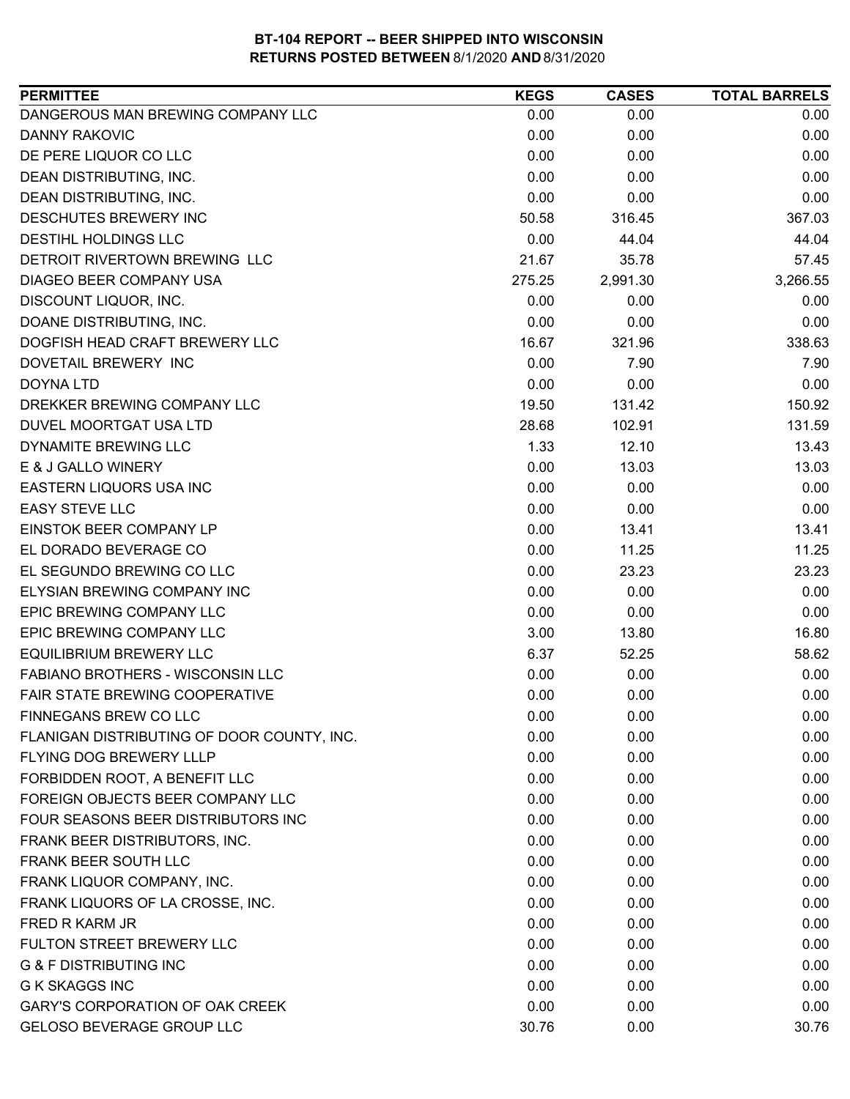| DANGEROUS MAN BREWING COMPANY LLC<br>0.00<br>0.00<br>0.00<br><b>DANNY RAKOVIC</b><br>0.00<br>0.00<br>0.00<br>0.00<br>DE PERE LIQUOR CO LLC<br>0.00<br>0.00<br>0.00<br>DEAN DISTRIBUTING, INC.<br>0.00<br>0.00<br>0.00<br>DEAN DISTRIBUTING, INC.<br>0.00<br>0.00<br>DESCHUTES BREWERY INC<br>50.58<br>367.03<br>316.45<br><b>DESTIHL HOLDINGS LLC</b><br>0.00<br>44.04<br>44.04<br>DETROIT RIVERTOWN BREWING LLC<br>21.67<br>35.78<br>57.45<br>DIAGEO BEER COMPANY USA<br>275.25<br>2,991.30<br>3,266.55<br>DISCOUNT LIQUOR, INC.<br>0.00<br>0.00<br>0.00<br>DOANE DISTRIBUTING, INC.<br>0.00<br>0.00<br>0.00<br>16.67<br>338.63<br>DOGFISH HEAD CRAFT BREWERY LLC<br>321.96<br>0.00<br>DOVETAIL BREWERY INC<br>7.90<br>7.90<br>0.00<br><b>DOYNA LTD</b><br>0.00<br>0.00<br>DREKKER BREWING COMPANY LLC<br>19.50<br>131.42<br>150.92<br>28.68<br>131.59<br>DUVEL MOORTGAT USA LTD<br>102.91<br>1.33<br>13.43<br>DYNAMITE BREWING LLC<br>12.10<br>E & J GALLO WINERY<br>0.00<br>13.03<br>13.03<br>EASTERN LIQUORS USA INC<br>0.00<br>0.00<br>0.00<br><b>EASY STEVE LLC</b><br>0.00<br>0.00<br>0.00<br>EINSTOK BEER COMPANY LP<br>0.00<br>13.41<br>13.41<br>EL DORADO BEVERAGE CO<br>0.00<br>11.25<br>11.25<br>EL SEGUNDO BREWING CO LLC<br>0.00<br>23.23<br>23.23<br>ELYSIAN BREWING COMPANY INC<br>0.00<br>0.00<br>0.00<br>EPIC BREWING COMPANY LLC<br>0.00<br>0.00<br>0.00<br>EPIC BREWING COMPANY LLC<br>16.80<br>3.00<br>13.80<br><b>EQUILIBRIUM BREWERY LLC</b><br>6.37<br>58.62<br>52.25<br>FABIANO BROTHERS - WISCONSIN LLC<br>0.00<br>0.00<br>0.00<br>FAIR STATE BREWING COOPERATIVE<br>0.00<br>0.00<br>0.00<br>FINNEGANS BREW CO LLC<br>0.00<br>0.00<br>0.00<br>0.00<br>0.00<br>0.00<br>FLANIGAN DISTRIBUTING OF DOOR COUNTY, INC.<br><b>FLYING DOG BREWERY LLLP</b><br>0.00<br>0.00<br>0.00<br>FORBIDDEN ROOT, A BENEFIT LLC<br>0.00<br>0.00<br>0.00<br>FOREIGN OBJECTS BEER COMPANY LLC<br>0.00<br>0.00<br>0.00<br>FOUR SEASONS BEER DISTRIBUTORS INC<br>0.00<br>0.00<br>0.00<br>FRANK BEER DISTRIBUTORS, INC.<br>0.00<br>0.00<br>0.00<br>FRANK BEER SOUTH LLC<br>0.00<br>0.00<br>0.00<br>FRANK LIQUOR COMPANY, INC.<br>0.00<br>0.00<br>0.00<br>FRANK LIQUORS OF LA CROSSE, INC.<br>0.00<br>0.00<br>0.00<br>FRED R KARM JR<br>0.00<br>0.00<br>0.00<br>FULTON STREET BREWERY LLC<br>0.00<br>0.00<br>0.00<br><b>G &amp; F DISTRIBUTING INC</b><br>0.00<br>0.00<br>0.00<br>0.00<br>0.00<br><b>G K SKAGGS INC</b><br>0.00<br>GARY'S CORPORATION OF OAK CREEK<br>0.00<br>0.00<br>0.00<br>GELOSO BEVERAGE GROUP LLC<br>30.76<br>30.76<br>0.00 | <b>PERMITTEE</b> | <b>KEGS</b> | <b>CASES</b> | <b>TOTAL BARRELS</b> |
|---------------------------------------------------------------------------------------------------------------------------------------------------------------------------------------------------------------------------------------------------------------------------------------------------------------------------------------------------------------------------------------------------------------------------------------------------------------------------------------------------------------------------------------------------------------------------------------------------------------------------------------------------------------------------------------------------------------------------------------------------------------------------------------------------------------------------------------------------------------------------------------------------------------------------------------------------------------------------------------------------------------------------------------------------------------------------------------------------------------------------------------------------------------------------------------------------------------------------------------------------------------------------------------------------------------------------------------------------------------------------------------------------------------------------------------------------------------------------------------------------------------------------------------------------------------------------------------------------------------------------------------------------------------------------------------------------------------------------------------------------------------------------------------------------------------------------------------------------------------------------------------------------------------------------------------------------------------------------------------------------------------------------------------------------------------------------------------------------------------------------------------------------------------------------------------------------------------------------------------------------------------------------------------------------------------------------------------------------------------------------------------------------------------------------------------------------------------------------------------------------------------------------------------------------|------------------|-------------|--------------|----------------------|
|                                                                                                                                                                                                                                                                                                                                                                                                                                                                                                                                                                                                                                                                                                                                                                                                                                                                                                                                                                                                                                                                                                                                                                                                                                                                                                                                                                                                                                                                                                                                                                                                                                                                                                                                                                                                                                                                                                                                                                                                                                                                                                                                                                                                                                                                                                                                                                                                                                                                                                                                                   |                  |             |              |                      |
|                                                                                                                                                                                                                                                                                                                                                                                                                                                                                                                                                                                                                                                                                                                                                                                                                                                                                                                                                                                                                                                                                                                                                                                                                                                                                                                                                                                                                                                                                                                                                                                                                                                                                                                                                                                                                                                                                                                                                                                                                                                                                                                                                                                                                                                                                                                                                                                                                                                                                                                                                   |                  |             |              |                      |
|                                                                                                                                                                                                                                                                                                                                                                                                                                                                                                                                                                                                                                                                                                                                                                                                                                                                                                                                                                                                                                                                                                                                                                                                                                                                                                                                                                                                                                                                                                                                                                                                                                                                                                                                                                                                                                                                                                                                                                                                                                                                                                                                                                                                                                                                                                                                                                                                                                                                                                                                                   |                  |             |              |                      |
|                                                                                                                                                                                                                                                                                                                                                                                                                                                                                                                                                                                                                                                                                                                                                                                                                                                                                                                                                                                                                                                                                                                                                                                                                                                                                                                                                                                                                                                                                                                                                                                                                                                                                                                                                                                                                                                                                                                                                                                                                                                                                                                                                                                                                                                                                                                                                                                                                                                                                                                                                   |                  |             |              |                      |
|                                                                                                                                                                                                                                                                                                                                                                                                                                                                                                                                                                                                                                                                                                                                                                                                                                                                                                                                                                                                                                                                                                                                                                                                                                                                                                                                                                                                                                                                                                                                                                                                                                                                                                                                                                                                                                                                                                                                                                                                                                                                                                                                                                                                                                                                                                                                                                                                                                                                                                                                                   |                  |             |              |                      |
|                                                                                                                                                                                                                                                                                                                                                                                                                                                                                                                                                                                                                                                                                                                                                                                                                                                                                                                                                                                                                                                                                                                                                                                                                                                                                                                                                                                                                                                                                                                                                                                                                                                                                                                                                                                                                                                                                                                                                                                                                                                                                                                                                                                                                                                                                                                                                                                                                                                                                                                                                   |                  |             |              |                      |
|                                                                                                                                                                                                                                                                                                                                                                                                                                                                                                                                                                                                                                                                                                                                                                                                                                                                                                                                                                                                                                                                                                                                                                                                                                                                                                                                                                                                                                                                                                                                                                                                                                                                                                                                                                                                                                                                                                                                                                                                                                                                                                                                                                                                                                                                                                                                                                                                                                                                                                                                                   |                  |             |              |                      |
|                                                                                                                                                                                                                                                                                                                                                                                                                                                                                                                                                                                                                                                                                                                                                                                                                                                                                                                                                                                                                                                                                                                                                                                                                                                                                                                                                                                                                                                                                                                                                                                                                                                                                                                                                                                                                                                                                                                                                                                                                                                                                                                                                                                                                                                                                                                                                                                                                                                                                                                                                   |                  |             |              |                      |
|                                                                                                                                                                                                                                                                                                                                                                                                                                                                                                                                                                                                                                                                                                                                                                                                                                                                                                                                                                                                                                                                                                                                                                                                                                                                                                                                                                                                                                                                                                                                                                                                                                                                                                                                                                                                                                                                                                                                                                                                                                                                                                                                                                                                                                                                                                                                                                                                                                                                                                                                                   |                  |             |              |                      |
|                                                                                                                                                                                                                                                                                                                                                                                                                                                                                                                                                                                                                                                                                                                                                                                                                                                                                                                                                                                                                                                                                                                                                                                                                                                                                                                                                                                                                                                                                                                                                                                                                                                                                                                                                                                                                                                                                                                                                                                                                                                                                                                                                                                                                                                                                                                                                                                                                                                                                                                                                   |                  |             |              |                      |
|                                                                                                                                                                                                                                                                                                                                                                                                                                                                                                                                                                                                                                                                                                                                                                                                                                                                                                                                                                                                                                                                                                                                                                                                                                                                                                                                                                                                                                                                                                                                                                                                                                                                                                                                                                                                                                                                                                                                                                                                                                                                                                                                                                                                                                                                                                                                                                                                                                                                                                                                                   |                  |             |              |                      |
|                                                                                                                                                                                                                                                                                                                                                                                                                                                                                                                                                                                                                                                                                                                                                                                                                                                                                                                                                                                                                                                                                                                                                                                                                                                                                                                                                                                                                                                                                                                                                                                                                                                                                                                                                                                                                                                                                                                                                                                                                                                                                                                                                                                                                                                                                                                                                                                                                                                                                                                                                   |                  |             |              |                      |
|                                                                                                                                                                                                                                                                                                                                                                                                                                                                                                                                                                                                                                                                                                                                                                                                                                                                                                                                                                                                                                                                                                                                                                                                                                                                                                                                                                                                                                                                                                                                                                                                                                                                                                                                                                                                                                                                                                                                                                                                                                                                                                                                                                                                                                                                                                                                                                                                                                                                                                                                                   |                  |             |              |                      |
|                                                                                                                                                                                                                                                                                                                                                                                                                                                                                                                                                                                                                                                                                                                                                                                                                                                                                                                                                                                                                                                                                                                                                                                                                                                                                                                                                                                                                                                                                                                                                                                                                                                                                                                                                                                                                                                                                                                                                                                                                                                                                                                                                                                                                                                                                                                                                                                                                                                                                                                                                   |                  |             |              |                      |
|                                                                                                                                                                                                                                                                                                                                                                                                                                                                                                                                                                                                                                                                                                                                                                                                                                                                                                                                                                                                                                                                                                                                                                                                                                                                                                                                                                                                                                                                                                                                                                                                                                                                                                                                                                                                                                                                                                                                                                                                                                                                                                                                                                                                                                                                                                                                                                                                                                                                                                                                                   |                  |             |              |                      |
|                                                                                                                                                                                                                                                                                                                                                                                                                                                                                                                                                                                                                                                                                                                                                                                                                                                                                                                                                                                                                                                                                                                                                                                                                                                                                                                                                                                                                                                                                                                                                                                                                                                                                                                                                                                                                                                                                                                                                                                                                                                                                                                                                                                                                                                                                                                                                                                                                                                                                                                                                   |                  |             |              |                      |
|                                                                                                                                                                                                                                                                                                                                                                                                                                                                                                                                                                                                                                                                                                                                                                                                                                                                                                                                                                                                                                                                                                                                                                                                                                                                                                                                                                                                                                                                                                                                                                                                                                                                                                                                                                                                                                                                                                                                                                                                                                                                                                                                                                                                                                                                                                                                                                                                                                                                                                                                                   |                  |             |              |                      |
|                                                                                                                                                                                                                                                                                                                                                                                                                                                                                                                                                                                                                                                                                                                                                                                                                                                                                                                                                                                                                                                                                                                                                                                                                                                                                                                                                                                                                                                                                                                                                                                                                                                                                                                                                                                                                                                                                                                                                                                                                                                                                                                                                                                                                                                                                                                                                                                                                                                                                                                                                   |                  |             |              |                      |
|                                                                                                                                                                                                                                                                                                                                                                                                                                                                                                                                                                                                                                                                                                                                                                                                                                                                                                                                                                                                                                                                                                                                                                                                                                                                                                                                                                                                                                                                                                                                                                                                                                                                                                                                                                                                                                                                                                                                                                                                                                                                                                                                                                                                                                                                                                                                                                                                                                                                                                                                                   |                  |             |              |                      |
|                                                                                                                                                                                                                                                                                                                                                                                                                                                                                                                                                                                                                                                                                                                                                                                                                                                                                                                                                                                                                                                                                                                                                                                                                                                                                                                                                                                                                                                                                                                                                                                                                                                                                                                                                                                                                                                                                                                                                                                                                                                                                                                                                                                                                                                                                                                                                                                                                                                                                                                                                   |                  |             |              |                      |
|                                                                                                                                                                                                                                                                                                                                                                                                                                                                                                                                                                                                                                                                                                                                                                                                                                                                                                                                                                                                                                                                                                                                                                                                                                                                                                                                                                                                                                                                                                                                                                                                                                                                                                                                                                                                                                                                                                                                                                                                                                                                                                                                                                                                                                                                                                                                                                                                                                                                                                                                                   |                  |             |              |                      |
|                                                                                                                                                                                                                                                                                                                                                                                                                                                                                                                                                                                                                                                                                                                                                                                                                                                                                                                                                                                                                                                                                                                                                                                                                                                                                                                                                                                                                                                                                                                                                                                                                                                                                                                                                                                                                                                                                                                                                                                                                                                                                                                                                                                                                                                                                                                                                                                                                                                                                                                                                   |                  |             |              |                      |
|                                                                                                                                                                                                                                                                                                                                                                                                                                                                                                                                                                                                                                                                                                                                                                                                                                                                                                                                                                                                                                                                                                                                                                                                                                                                                                                                                                                                                                                                                                                                                                                                                                                                                                                                                                                                                                                                                                                                                                                                                                                                                                                                                                                                                                                                                                                                                                                                                                                                                                                                                   |                  |             |              |                      |
|                                                                                                                                                                                                                                                                                                                                                                                                                                                                                                                                                                                                                                                                                                                                                                                                                                                                                                                                                                                                                                                                                                                                                                                                                                                                                                                                                                                                                                                                                                                                                                                                                                                                                                                                                                                                                                                                                                                                                                                                                                                                                                                                                                                                                                                                                                                                                                                                                                                                                                                                                   |                  |             |              |                      |
|                                                                                                                                                                                                                                                                                                                                                                                                                                                                                                                                                                                                                                                                                                                                                                                                                                                                                                                                                                                                                                                                                                                                                                                                                                                                                                                                                                                                                                                                                                                                                                                                                                                                                                                                                                                                                                                                                                                                                                                                                                                                                                                                                                                                                                                                                                                                                                                                                                                                                                                                                   |                  |             |              |                      |
|                                                                                                                                                                                                                                                                                                                                                                                                                                                                                                                                                                                                                                                                                                                                                                                                                                                                                                                                                                                                                                                                                                                                                                                                                                                                                                                                                                                                                                                                                                                                                                                                                                                                                                                                                                                                                                                                                                                                                                                                                                                                                                                                                                                                                                                                                                                                                                                                                                                                                                                                                   |                  |             |              |                      |
|                                                                                                                                                                                                                                                                                                                                                                                                                                                                                                                                                                                                                                                                                                                                                                                                                                                                                                                                                                                                                                                                                                                                                                                                                                                                                                                                                                                                                                                                                                                                                                                                                                                                                                                                                                                                                                                                                                                                                                                                                                                                                                                                                                                                                                                                                                                                                                                                                                                                                                                                                   |                  |             |              |                      |
|                                                                                                                                                                                                                                                                                                                                                                                                                                                                                                                                                                                                                                                                                                                                                                                                                                                                                                                                                                                                                                                                                                                                                                                                                                                                                                                                                                                                                                                                                                                                                                                                                                                                                                                                                                                                                                                                                                                                                                                                                                                                                                                                                                                                                                                                                                                                                                                                                                                                                                                                                   |                  |             |              |                      |
|                                                                                                                                                                                                                                                                                                                                                                                                                                                                                                                                                                                                                                                                                                                                                                                                                                                                                                                                                                                                                                                                                                                                                                                                                                                                                                                                                                                                                                                                                                                                                                                                                                                                                                                                                                                                                                                                                                                                                                                                                                                                                                                                                                                                                                                                                                                                                                                                                                                                                                                                                   |                  |             |              |                      |
|                                                                                                                                                                                                                                                                                                                                                                                                                                                                                                                                                                                                                                                                                                                                                                                                                                                                                                                                                                                                                                                                                                                                                                                                                                                                                                                                                                                                                                                                                                                                                                                                                                                                                                                                                                                                                                                                                                                                                                                                                                                                                                                                                                                                                                                                                                                                                                                                                                                                                                                                                   |                  |             |              |                      |
|                                                                                                                                                                                                                                                                                                                                                                                                                                                                                                                                                                                                                                                                                                                                                                                                                                                                                                                                                                                                                                                                                                                                                                                                                                                                                                                                                                                                                                                                                                                                                                                                                                                                                                                                                                                                                                                                                                                                                                                                                                                                                                                                                                                                                                                                                                                                                                                                                                                                                                                                                   |                  |             |              |                      |
|                                                                                                                                                                                                                                                                                                                                                                                                                                                                                                                                                                                                                                                                                                                                                                                                                                                                                                                                                                                                                                                                                                                                                                                                                                                                                                                                                                                                                                                                                                                                                                                                                                                                                                                                                                                                                                                                                                                                                                                                                                                                                                                                                                                                                                                                                                                                                                                                                                                                                                                                                   |                  |             |              |                      |
|                                                                                                                                                                                                                                                                                                                                                                                                                                                                                                                                                                                                                                                                                                                                                                                                                                                                                                                                                                                                                                                                                                                                                                                                                                                                                                                                                                                                                                                                                                                                                                                                                                                                                                                                                                                                                                                                                                                                                                                                                                                                                                                                                                                                                                                                                                                                                                                                                                                                                                                                                   |                  |             |              |                      |
|                                                                                                                                                                                                                                                                                                                                                                                                                                                                                                                                                                                                                                                                                                                                                                                                                                                                                                                                                                                                                                                                                                                                                                                                                                                                                                                                                                                                                                                                                                                                                                                                                                                                                                                                                                                                                                                                                                                                                                                                                                                                                                                                                                                                                                                                                                                                                                                                                                                                                                                                                   |                  |             |              |                      |
|                                                                                                                                                                                                                                                                                                                                                                                                                                                                                                                                                                                                                                                                                                                                                                                                                                                                                                                                                                                                                                                                                                                                                                                                                                                                                                                                                                                                                                                                                                                                                                                                                                                                                                                                                                                                                                                                                                                                                                                                                                                                                                                                                                                                                                                                                                                                                                                                                                                                                                                                                   |                  |             |              |                      |
|                                                                                                                                                                                                                                                                                                                                                                                                                                                                                                                                                                                                                                                                                                                                                                                                                                                                                                                                                                                                                                                                                                                                                                                                                                                                                                                                                                                                                                                                                                                                                                                                                                                                                                                                                                                                                                                                                                                                                                                                                                                                                                                                                                                                                                                                                                                                                                                                                                                                                                                                                   |                  |             |              |                      |
|                                                                                                                                                                                                                                                                                                                                                                                                                                                                                                                                                                                                                                                                                                                                                                                                                                                                                                                                                                                                                                                                                                                                                                                                                                                                                                                                                                                                                                                                                                                                                                                                                                                                                                                                                                                                                                                                                                                                                                                                                                                                                                                                                                                                                                                                                                                                                                                                                                                                                                                                                   |                  |             |              |                      |
|                                                                                                                                                                                                                                                                                                                                                                                                                                                                                                                                                                                                                                                                                                                                                                                                                                                                                                                                                                                                                                                                                                                                                                                                                                                                                                                                                                                                                                                                                                                                                                                                                                                                                                                                                                                                                                                                                                                                                                                                                                                                                                                                                                                                                                                                                                                                                                                                                                                                                                                                                   |                  |             |              |                      |
|                                                                                                                                                                                                                                                                                                                                                                                                                                                                                                                                                                                                                                                                                                                                                                                                                                                                                                                                                                                                                                                                                                                                                                                                                                                                                                                                                                                                                                                                                                                                                                                                                                                                                                                                                                                                                                                                                                                                                                                                                                                                                                                                                                                                                                                                                                                                                                                                                                                                                                                                                   |                  |             |              |                      |
|                                                                                                                                                                                                                                                                                                                                                                                                                                                                                                                                                                                                                                                                                                                                                                                                                                                                                                                                                                                                                                                                                                                                                                                                                                                                                                                                                                                                                                                                                                                                                                                                                                                                                                                                                                                                                                                                                                                                                                                                                                                                                                                                                                                                                                                                                                                                                                                                                                                                                                                                                   |                  |             |              |                      |
|                                                                                                                                                                                                                                                                                                                                                                                                                                                                                                                                                                                                                                                                                                                                                                                                                                                                                                                                                                                                                                                                                                                                                                                                                                                                                                                                                                                                                                                                                                                                                                                                                                                                                                                                                                                                                                                                                                                                                                                                                                                                                                                                                                                                                                                                                                                                                                                                                                                                                                                                                   |                  |             |              |                      |
|                                                                                                                                                                                                                                                                                                                                                                                                                                                                                                                                                                                                                                                                                                                                                                                                                                                                                                                                                                                                                                                                                                                                                                                                                                                                                                                                                                                                                                                                                                                                                                                                                                                                                                                                                                                                                                                                                                                                                                                                                                                                                                                                                                                                                                                                                                                                                                                                                                                                                                                                                   |                  |             |              |                      |
|                                                                                                                                                                                                                                                                                                                                                                                                                                                                                                                                                                                                                                                                                                                                                                                                                                                                                                                                                                                                                                                                                                                                                                                                                                                                                                                                                                                                                                                                                                                                                                                                                                                                                                                                                                                                                                                                                                                                                                                                                                                                                                                                                                                                                                                                                                                                                                                                                                                                                                                                                   |                  |             |              |                      |
|                                                                                                                                                                                                                                                                                                                                                                                                                                                                                                                                                                                                                                                                                                                                                                                                                                                                                                                                                                                                                                                                                                                                                                                                                                                                                                                                                                                                                                                                                                                                                                                                                                                                                                                                                                                                                                                                                                                                                                                                                                                                                                                                                                                                                                                                                                                                                                                                                                                                                                                                                   |                  |             |              |                      |
|                                                                                                                                                                                                                                                                                                                                                                                                                                                                                                                                                                                                                                                                                                                                                                                                                                                                                                                                                                                                                                                                                                                                                                                                                                                                                                                                                                                                                                                                                                                                                                                                                                                                                                                                                                                                                                                                                                                                                                                                                                                                                                                                                                                                                                                                                                                                                                                                                                                                                                                                                   |                  |             |              |                      |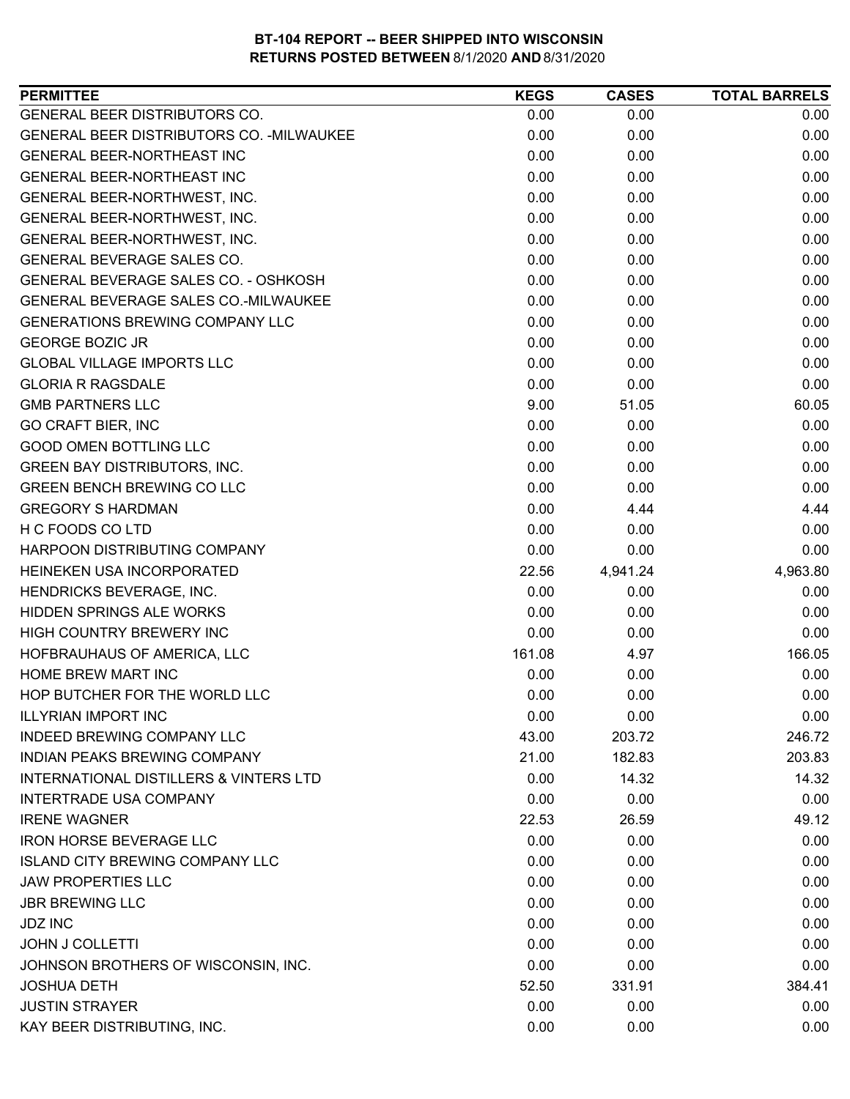| GENERAL BEER DISTRIBUTORS CO.<br>0.00<br>0.00<br>0.00<br>GENERAL BEER DISTRIBUTORS CO. - MILWAUKEE<br>0.00<br>0.00<br>0.00<br>GENERAL BEER-NORTHEAST INC<br>0.00<br>0.00<br>0.00<br>0.00<br>0.00<br>0.00<br><b>GENERAL BEER-NORTHEAST INC</b><br>0.00<br>0.00<br>0.00<br>GENERAL BEER-NORTHWEST, INC.<br>GENERAL BEER-NORTHWEST, INC.<br>0.00<br>0.00<br>0.00<br>GENERAL BEER-NORTHWEST, INC.<br>0.00<br>0.00<br>0.00<br>GENERAL BEVERAGE SALES CO.<br>0.00<br>0.00<br>0.00<br>0.00<br>GENERAL BEVERAGE SALES CO. - OSHKOSH<br>0.00<br>0.00<br>GENERAL BEVERAGE SALES CO.-MILWAUKEE<br>0.00<br>0.00<br>0.00<br><b>GENERATIONS BREWING COMPANY LLC</b><br>0.00<br>0.00<br>0.00<br><b>GEORGE BOZIC JR</b><br>0.00<br>0.00<br>0.00<br>0.00<br><b>GLOBAL VILLAGE IMPORTS LLC</b><br>0.00<br>0.00<br><b>GLORIA R RAGSDALE</b><br>0.00<br>0.00<br>0.00<br><b>GMB PARTNERS LLC</b><br>9.00<br>60.05<br>51.05<br><b>GO CRAFT BIER, INC</b><br>0.00<br>0.00<br>0.00<br>0.00<br><b>GOOD OMEN BOTTLING LLC</b><br>0.00<br>0.00<br><b>GREEN BAY DISTRIBUTORS, INC.</b><br>0.00<br>0.00<br>0.00<br><b>GREEN BENCH BREWING CO LLC</b><br>0.00<br>0.00<br>0.00<br><b>GREGORY S HARDMAN</b><br>0.00<br>4.44<br>4.44<br>H C FOODS CO LTD<br>0.00<br>0.00<br>0.00<br>HARPOON DISTRIBUTING COMPANY<br>0.00<br>0.00<br>0.00<br>HEINEKEN USA INCORPORATED<br>22.56<br>4,941.24<br>4,963.80<br>HENDRICKS BEVERAGE, INC.<br>0.00<br>0.00<br>0.00<br>HIDDEN SPRINGS ALE WORKS<br>0.00<br>0.00<br>0.00<br>HIGH COUNTRY BREWERY INC<br>0.00<br>0.00<br>0.00<br>161.08<br>166.05<br>HOFBRAUHAUS OF AMERICA, LLC<br>4.97<br>HOME BREW MART INC<br>0.00<br>0.00<br>0.00<br>HOP BUTCHER FOR THE WORLD LLC<br>0.00<br>0.00<br>0.00<br><b>ILLYRIAN IMPORT INC</b><br>0.00<br>0.00<br>0.00<br><b>INDEED BREWING COMPANY LLC</b><br>203.72<br>246.72<br>43.00<br><b>INDIAN PEAKS BREWING COMPANY</b><br>21.00<br>182.83<br>203.83<br><b>INTERNATIONAL DISTILLERS &amp; VINTERS LTD</b><br>0.00<br>14.32<br>14.32<br><b>INTERTRADE USA COMPANY</b><br>0.00<br>0.00<br>0.00<br><b>IRENE WAGNER</b><br>22.53<br>26.59<br>49.12<br><b>IRON HORSE BEVERAGE LLC</b><br>0.00<br>0.00<br>0.00<br><b>ISLAND CITY BREWING COMPANY LLC</b><br>0.00<br>0.00<br>0.00<br><b>JAW PROPERTIES LLC</b><br>0.00<br>0.00<br>0.00<br><b>JBR BREWING LLC</b><br>0.00<br>0.00<br>0.00<br><b>JDZ INC</b><br>0.00<br>0.00<br>0.00<br><b>JOHN J COLLETTI</b><br>0.00<br>0.00<br>0.00<br>JOHNSON BROTHERS OF WISCONSIN, INC.<br>0.00<br>0.00<br>0.00<br><b>JOSHUA DETH</b><br>52.50<br>331.91<br>384.41<br><b>JUSTIN STRAYER</b><br>0.00<br>0.00<br>0.00<br>KAY BEER DISTRIBUTING, INC.<br>0.00<br>0.00<br>0.00 | <b>PERMITTEE</b> | <b>KEGS</b> | <b>CASES</b> | <b>TOTAL BARRELS</b> |
|----------------------------------------------------------------------------------------------------------------------------------------------------------------------------------------------------------------------------------------------------------------------------------------------------------------------------------------------------------------------------------------------------------------------------------------------------------------------------------------------------------------------------------------------------------------------------------------------------------------------------------------------------------------------------------------------------------------------------------------------------------------------------------------------------------------------------------------------------------------------------------------------------------------------------------------------------------------------------------------------------------------------------------------------------------------------------------------------------------------------------------------------------------------------------------------------------------------------------------------------------------------------------------------------------------------------------------------------------------------------------------------------------------------------------------------------------------------------------------------------------------------------------------------------------------------------------------------------------------------------------------------------------------------------------------------------------------------------------------------------------------------------------------------------------------------------------------------------------------------------------------------------------------------------------------------------------------------------------------------------------------------------------------------------------------------------------------------------------------------------------------------------------------------------------------------------------------------------------------------------------------------------------------------------------------------------------------------------------------------------------------------------------------------------------------------------------------------------------------------------------------------------------------------------------------------------------------------------------------------------------------------------------|------------------|-------------|--------------|----------------------|
|                                                                                                                                                                                                                                                                                                                                                                                                                                                                                                                                                                                                                                                                                                                                                                                                                                                                                                                                                                                                                                                                                                                                                                                                                                                                                                                                                                                                                                                                                                                                                                                                                                                                                                                                                                                                                                                                                                                                                                                                                                                                                                                                                                                                                                                                                                                                                                                                                                                                                                                                                                                                                                                    |                  |             |              |                      |
|                                                                                                                                                                                                                                                                                                                                                                                                                                                                                                                                                                                                                                                                                                                                                                                                                                                                                                                                                                                                                                                                                                                                                                                                                                                                                                                                                                                                                                                                                                                                                                                                                                                                                                                                                                                                                                                                                                                                                                                                                                                                                                                                                                                                                                                                                                                                                                                                                                                                                                                                                                                                                                                    |                  |             |              |                      |
|                                                                                                                                                                                                                                                                                                                                                                                                                                                                                                                                                                                                                                                                                                                                                                                                                                                                                                                                                                                                                                                                                                                                                                                                                                                                                                                                                                                                                                                                                                                                                                                                                                                                                                                                                                                                                                                                                                                                                                                                                                                                                                                                                                                                                                                                                                                                                                                                                                                                                                                                                                                                                                                    |                  |             |              |                      |
|                                                                                                                                                                                                                                                                                                                                                                                                                                                                                                                                                                                                                                                                                                                                                                                                                                                                                                                                                                                                                                                                                                                                                                                                                                                                                                                                                                                                                                                                                                                                                                                                                                                                                                                                                                                                                                                                                                                                                                                                                                                                                                                                                                                                                                                                                                                                                                                                                                                                                                                                                                                                                                                    |                  |             |              |                      |
|                                                                                                                                                                                                                                                                                                                                                                                                                                                                                                                                                                                                                                                                                                                                                                                                                                                                                                                                                                                                                                                                                                                                                                                                                                                                                                                                                                                                                                                                                                                                                                                                                                                                                                                                                                                                                                                                                                                                                                                                                                                                                                                                                                                                                                                                                                                                                                                                                                                                                                                                                                                                                                                    |                  |             |              |                      |
|                                                                                                                                                                                                                                                                                                                                                                                                                                                                                                                                                                                                                                                                                                                                                                                                                                                                                                                                                                                                                                                                                                                                                                                                                                                                                                                                                                                                                                                                                                                                                                                                                                                                                                                                                                                                                                                                                                                                                                                                                                                                                                                                                                                                                                                                                                                                                                                                                                                                                                                                                                                                                                                    |                  |             |              |                      |
|                                                                                                                                                                                                                                                                                                                                                                                                                                                                                                                                                                                                                                                                                                                                                                                                                                                                                                                                                                                                                                                                                                                                                                                                                                                                                                                                                                                                                                                                                                                                                                                                                                                                                                                                                                                                                                                                                                                                                                                                                                                                                                                                                                                                                                                                                                                                                                                                                                                                                                                                                                                                                                                    |                  |             |              |                      |
|                                                                                                                                                                                                                                                                                                                                                                                                                                                                                                                                                                                                                                                                                                                                                                                                                                                                                                                                                                                                                                                                                                                                                                                                                                                                                                                                                                                                                                                                                                                                                                                                                                                                                                                                                                                                                                                                                                                                                                                                                                                                                                                                                                                                                                                                                                                                                                                                                                                                                                                                                                                                                                                    |                  |             |              |                      |
|                                                                                                                                                                                                                                                                                                                                                                                                                                                                                                                                                                                                                                                                                                                                                                                                                                                                                                                                                                                                                                                                                                                                                                                                                                                                                                                                                                                                                                                                                                                                                                                                                                                                                                                                                                                                                                                                                                                                                                                                                                                                                                                                                                                                                                                                                                                                                                                                                                                                                                                                                                                                                                                    |                  |             |              |                      |
|                                                                                                                                                                                                                                                                                                                                                                                                                                                                                                                                                                                                                                                                                                                                                                                                                                                                                                                                                                                                                                                                                                                                                                                                                                                                                                                                                                                                                                                                                                                                                                                                                                                                                                                                                                                                                                                                                                                                                                                                                                                                                                                                                                                                                                                                                                                                                                                                                                                                                                                                                                                                                                                    |                  |             |              |                      |
|                                                                                                                                                                                                                                                                                                                                                                                                                                                                                                                                                                                                                                                                                                                                                                                                                                                                                                                                                                                                                                                                                                                                                                                                                                                                                                                                                                                                                                                                                                                                                                                                                                                                                                                                                                                                                                                                                                                                                                                                                                                                                                                                                                                                                                                                                                                                                                                                                                                                                                                                                                                                                                                    |                  |             |              |                      |
|                                                                                                                                                                                                                                                                                                                                                                                                                                                                                                                                                                                                                                                                                                                                                                                                                                                                                                                                                                                                                                                                                                                                                                                                                                                                                                                                                                                                                                                                                                                                                                                                                                                                                                                                                                                                                                                                                                                                                                                                                                                                                                                                                                                                                                                                                                                                                                                                                                                                                                                                                                                                                                                    |                  |             |              |                      |
|                                                                                                                                                                                                                                                                                                                                                                                                                                                                                                                                                                                                                                                                                                                                                                                                                                                                                                                                                                                                                                                                                                                                                                                                                                                                                                                                                                                                                                                                                                                                                                                                                                                                                                                                                                                                                                                                                                                                                                                                                                                                                                                                                                                                                                                                                                                                                                                                                                                                                                                                                                                                                                                    |                  |             |              |                      |
|                                                                                                                                                                                                                                                                                                                                                                                                                                                                                                                                                                                                                                                                                                                                                                                                                                                                                                                                                                                                                                                                                                                                                                                                                                                                                                                                                                                                                                                                                                                                                                                                                                                                                                                                                                                                                                                                                                                                                                                                                                                                                                                                                                                                                                                                                                                                                                                                                                                                                                                                                                                                                                                    |                  |             |              |                      |
|                                                                                                                                                                                                                                                                                                                                                                                                                                                                                                                                                                                                                                                                                                                                                                                                                                                                                                                                                                                                                                                                                                                                                                                                                                                                                                                                                                                                                                                                                                                                                                                                                                                                                                                                                                                                                                                                                                                                                                                                                                                                                                                                                                                                                                                                                                                                                                                                                                                                                                                                                                                                                                                    |                  |             |              |                      |
|                                                                                                                                                                                                                                                                                                                                                                                                                                                                                                                                                                                                                                                                                                                                                                                                                                                                                                                                                                                                                                                                                                                                                                                                                                                                                                                                                                                                                                                                                                                                                                                                                                                                                                                                                                                                                                                                                                                                                                                                                                                                                                                                                                                                                                                                                                                                                                                                                                                                                                                                                                                                                                                    |                  |             |              |                      |
|                                                                                                                                                                                                                                                                                                                                                                                                                                                                                                                                                                                                                                                                                                                                                                                                                                                                                                                                                                                                                                                                                                                                                                                                                                                                                                                                                                                                                                                                                                                                                                                                                                                                                                                                                                                                                                                                                                                                                                                                                                                                                                                                                                                                                                                                                                                                                                                                                                                                                                                                                                                                                                                    |                  |             |              |                      |
|                                                                                                                                                                                                                                                                                                                                                                                                                                                                                                                                                                                                                                                                                                                                                                                                                                                                                                                                                                                                                                                                                                                                                                                                                                                                                                                                                                                                                                                                                                                                                                                                                                                                                                                                                                                                                                                                                                                                                                                                                                                                                                                                                                                                                                                                                                                                                                                                                                                                                                                                                                                                                                                    |                  |             |              |                      |
|                                                                                                                                                                                                                                                                                                                                                                                                                                                                                                                                                                                                                                                                                                                                                                                                                                                                                                                                                                                                                                                                                                                                                                                                                                                                                                                                                                                                                                                                                                                                                                                                                                                                                                                                                                                                                                                                                                                                                                                                                                                                                                                                                                                                                                                                                                                                                                                                                                                                                                                                                                                                                                                    |                  |             |              |                      |
|                                                                                                                                                                                                                                                                                                                                                                                                                                                                                                                                                                                                                                                                                                                                                                                                                                                                                                                                                                                                                                                                                                                                                                                                                                                                                                                                                                                                                                                                                                                                                                                                                                                                                                                                                                                                                                                                                                                                                                                                                                                                                                                                                                                                                                                                                                                                                                                                                                                                                                                                                                                                                                                    |                  |             |              |                      |
|                                                                                                                                                                                                                                                                                                                                                                                                                                                                                                                                                                                                                                                                                                                                                                                                                                                                                                                                                                                                                                                                                                                                                                                                                                                                                                                                                                                                                                                                                                                                                                                                                                                                                                                                                                                                                                                                                                                                                                                                                                                                                                                                                                                                                                                                                                                                                                                                                                                                                                                                                                                                                                                    |                  |             |              |                      |
|                                                                                                                                                                                                                                                                                                                                                                                                                                                                                                                                                                                                                                                                                                                                                                                                                                                                                                                                                                                                                                                                                                                                                                                                                                                                                                                                                                                                                                                                                                                                                                                                                                                                                                                                                                                                                                                                                                                                                                                                                                                                                                                                                                                                                                                                                                                                                                                                                                                                                                                                                                                                                                                    |                  |             |              |                      |
|                                                                                                                                                                                                                                                                                                                                                                                                                                                                                                                                                                                                                                                                                                                                                                                                                                                                                                                                                                                                                                                                                                                                                                                                                                                                                                                                                                                                                                                                                                                                                                                                                                                                                                                                                                                                                                                                                                                                                                                                                                                                                                                                                                                                                                                                                                                                                                                                                                                                                                                                                                                                                                                    |                  |             |              |                      |
|                                                                                                                                                                                                                                                                                                                                                                                                                                                                                                                                                                                                                                                                                                                                                                                                                                                                                                                                                                                                                                                                                                                                                                                                                                                                                                                                                                                                                                                                                                                                                                                                                                                                                                                                                                                                                                                                                                                                                                                                                                                                                                                                                                                                                                                                                                                                                                                                                                                                                                                                                                                                                                                    |                  |             |              |                      |
|                                                                                                                                                                                                                                                                                                                                                                                                                                                                                                                                                                                                                                                                                                                                                                                                                                                                                                                                                                                                                                                                                                                                                                                                                                                                                                                                                                                                                                                                                                                                                                                                                                                                                                                                                                                                                                                                                                                                                                                                                                                                                                                                                                                                                                                                                                                                                                                                                                                                                                                                                                                                                                                    |                  |             |              |                      |
|                                                                                                                                                                                                                                                                                                                                                                                                                                                                                                                                                                                                                                                                                                                                                                                                                                                                                                                                                                                                                                                                                                                                                                                                                                                                                                                                                                                                                                                                                                                                                                                                                                                                                                                                                                                                                                                                                                                                                                                                                                                                                                                                                                                                                                                                                                                                                                                                                                                                                                                                                                                                                                                    |                  |             |              |                      |
|                                                                                                                                                                                                                                                                                                                                                                                                                                                                                                                                                                                                                                                                                                                                                                                                                                                                                                                                                                                                                                                                                                                                                                                                                                                                                                                                                                                                                                                                                                                                                                                                                                                                                                                                                                                                                                                                                                                                                                                                                                                                                                                                                                                                                                                                                                                                                                                                                                                                                                                                                                                                                                                    |                  |             |              |                      |
|                                                                                                                                                                                                                                                                                                                                                                                                                                                                                                                                                                                                                                                                                                                                                                                                                                                                                                                                                                                                                                                                                                                                                                                                                                                                                                                                                                                                                                                                                                                                                                                                                                                                                                                                                                                                                                                                                                                                                                                                                                                                                                                                                                                                                                                                                                                                                                                                                                                                                                                                                                                                                                                    |                  |             |              |                      |
|                                                                                                                                                                                                                                                                                                                                                                                                                                                                                                                                                                                                                                                                                                                                                                                                                                                                                                                                                                                                                                                                                                                                                                                                                                                                                                                                                                                                                                                                                                                                                                                                                                                                                                                                                                                                                                                                                                                                                                                                                                                                                                                                                                                                                                                                                                                                                                                                                                                                                                                                                                                                                                                    |                  |             |              |                      |
|                                                                                                                                                                                                                                                                                                                                                                                                                                                                                                                                                                                                                                                                                                                                                                                                                                                                                                                                                                                                                                                                                                                                                                                                                                                                                                                                                                                                                                                                                                                                                                                                                                                                                                                                                                                                                                                                                                                                                                                                                                                                                                                                                                                                                                                                                                                                                                                                                                                                                                                                                                                                                                                    |                  |             |              |                      |
|                                                                                                                                                                                                                                                                                                                                                                                                                                                                                                                                                                                                                                                                                                                                                                                                                                                                                                                                                                                                                                                                                                                                                                                                                                                                                                                                                                                                                                                                                                                                                                                                                                                                                                                                                                                                                                                                                                                                                                                                                                                                                                                                                                                                                                                                                                                                                                                                                                                                                                                                                                                                                                                    |                  |             |              |                      |
|                                                                                                                                                                                                                                                                                                                                                                                                                                                                                                                                                                                                                                                                                                                                                                                                                                                                                                                                                                                                                                                                                                                                                                                                                                                                                                                                                                                                                                                                                                                                                                                                                                                                                                                                                                                                                                                                                                                                                                                                                                                                                                                                                                                                                                                                                                                                                                                                                                                                                                                                                                                                                                                    |                  |             |              |                      |
|                                                                                                                                                                                                                                                                                                                                                                                                                                                                                                                                                                                                                                                                                                                                                                                                                                                                                                                                                                                                                                                                                                                                                                                                                                                                                                                                                                                                                                                                                                                                                                                                                                                                                                                                                                                                                                                                                                                                                                                                                                                                                                                                                                                                                                                                                                                                                                                                                                                                                                                                                                                                                                                    |                  |             |              |                      |
|                                                                                                                                                                                                                                                                                                                                                                                                                                                                                                                                                                                                                                                                                                                                                                                                                                                                                                                                                                                                                                                                                                                                                                                                                                                                                                                                                                                                                                                                                                                                                                                                                                                                                                                                                                                                                                                                                                                                                                                                                                                                                                                                                                                                                                                                                                                                                                                                                                                                                                                                                                                                                                                    |                  |             |              |                      |
|                                                                                                                                                                                                                                                                                                                                                                                                                                                                                                                                                                                                                                                                                                                                                                                                                                                                                                                                                                                                                                                                                                                                                                                                                                                                                                                                                                                                                                                                                                                                                                                                                                                                                                                                                                                                                                                                                                                                                                                                                                                                                                                                                                                                                                                                                                                                                                                                                                                                                                                                                                                                                                                    |                  |             |              |                      |
|                                                                                                                                                                                                                                                                                                                                                                                                                                                                                                                                                                                                                                                                                                                                                                                                                                                                                                                                                                                                                                                                                                                                                                                                                                                                                                                                                                                                                                                                                                                                                                                                                                                                                                                                                                                                                                                                                                                                                                                                                                                                                                                                                                                                                                                                                                                                                                                                                                                                                                                                                                                                                                                    |                  |             |              |                      |
|                                                                                                                                                                                                                                                                                                                                                                                                                                                                                                                                                                                                                                                                                                                                                                                                                                                                                                                                                                                                                                                                                                                                                                                                                                                                                                                                                                                                                                                                                                                                                                                                                                                                                                                                                                                                                                                                                                                                                                                                                                                                                                                                                                                                                                                                                                                                                                                                                                                                                                                                                                                                                                                    |                  |             |              |                      |
|                                                                                                                                                                                                                                                                                                                                                                                                                                                                                                                                                                                                                                                                                                                                                                                                                                                                                                                                                                                                                                                                                                                                                                                                                                                                                                                                                                                                                                                                                                                                                                                                                                                                                                                                                                                                                                                                                                                                                                                                                                                                                                                                                                                                                                                                                                                                                                                                                                                                                                                                                                                                                                                    |                  |             |              |                      |
|                                                                                                                                                                                                                                                                                                                                                                                                                                                                                                                                                                                                                                                                                                                                                                                                                                                                                                                                                                                                                                                                                                                                                                                                                                                                                                                                                                                                                                                                                                                                                                                                                                                                                                                                                                                                                                                                                                                                                                                                                                                                                                                                                                                                                                                                                                                                                                                                                                                                                                                                                                                                                                                    |                  |             |              |                      |
|                                                                                                                                                                                                                                                                                                                                                                                                                                                                                                                                                                                                                                                                                                                                                                                                                                                                                                                                                                                                                                                                                                                                                                                                                                                                                                                                                                                                                                                                                                                                                                                                                                                                                                                                                                                                                                                                                                                                                                                                                                                                                                                                                                                                                                                                                                                                                                                                                                                                                                                                                                                                                                                    |                  |             |              |                      |
|                                                                                                                                                                                                                                                                                                                                                                                                                                                                                                                                                                                                                                                                                                                                                                                                                                                                                                                                                                                                                                                                                                                                                                                                                                                                                                                                                                                                                                                                                                                                                                                                                                                                                                                                                                                                                                                                                                                                                                                                                                                                                                                                                                                                                                                                                                                                                                                                                                                                                                                                                                                                                                                    |                  |             |              |                      |
|                                                                                                                                                                                                                                                                                                                                                                                                                                                                                                                                                                                                                                                                                                                                                                                                                                                                                                                                                                                                                                                                                                                                                                                                                                                                                                                                                                                                                                                                                                                                                                                                                                                                                                                                                                                                                                                                                                                                                                                                                                                                                                                                                                                                                                                                                                                                                                                                                                                                                                                                                                                                                                                    |                  |             |              |                      |
|                                                                                                                                                                                                                                                                                                                                                                                                                                                                                                                                                                                                                                                                                                                                                                                                                                                                                                                                                                                                                                                                                                                                                                                                                                                                                                                                                                                                                                                                                                                                                                                                                                                                                                                                                                                                                                                                                                                                                                                                                                                                                                                                                                                                                                                                                                                                                                                                                                                                                                                                                                                                                                                    |                  |             |              |                      |
|                                                                                                                                                                                                                                                                                                                                                                                                                                                                                                                                                                                                                                                                                                                                                                                                                                                                                                                                                                                                                                                                                                                                                                                                                                                                                                                                                                                                                                                                                                                                                                                                                                                                                                                                                                                                                                                                                                                                                                                                                                                                                                                                                                                                                                                                                                                                                                                                                                                                                                                                                                                                                                                    |                  |             |              |                      |
|                                                                                                                                                                                                                                                                                                                                                                                                                                                                                                                                                                                                                                                                                                                                                                                                                                                                                                                                                                                                                                                                                                                                                                                                                                                                                                                                                                                                                                                                                                                                                                                                                                                                                                                                                                                                                                                                                                                                                                                                                                                                                                                                                                                                                                                                                                                                                                                                                                                                                                                                                                                                                                                    |                  |             |              |                      |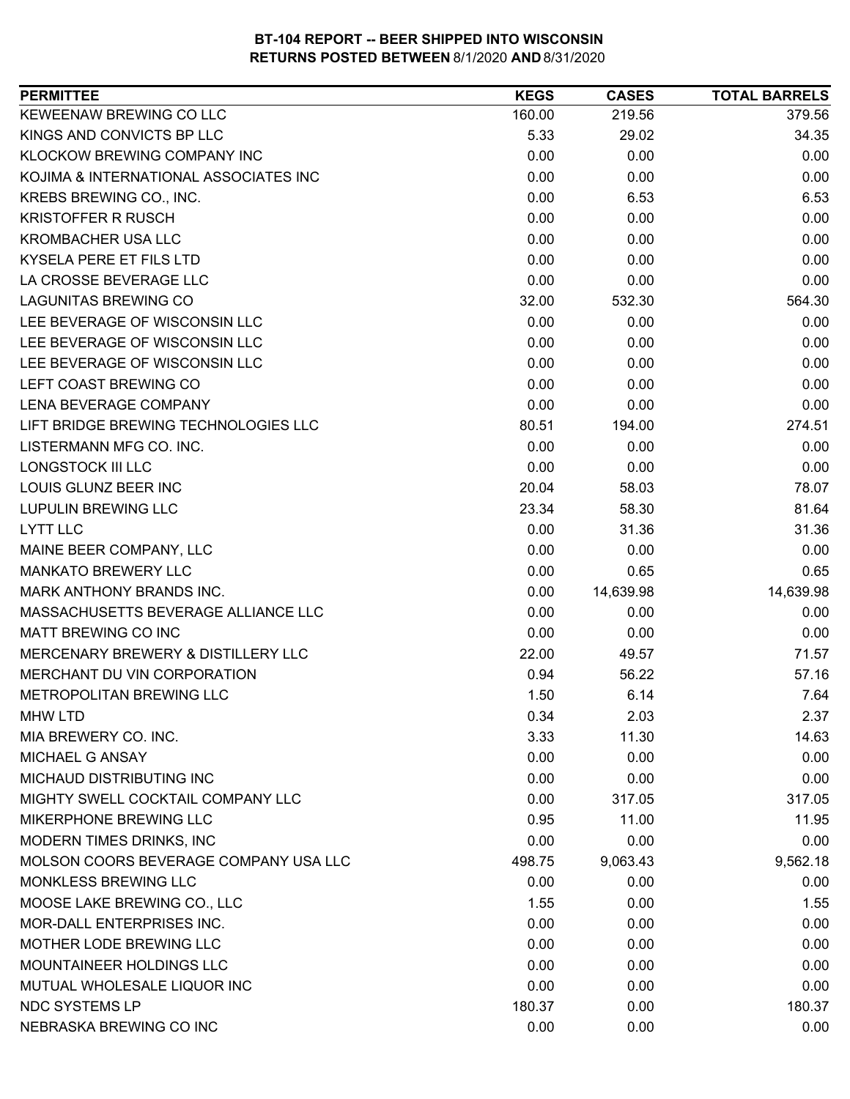| <b>PERMITTEE</b>                      | <b>KEGS</b> | <b>CASES</b> | <b>TOTAL BARRELS</b> |
|---------------------------------------|-------------|--------------|----------------------|
| KEWEENAW BREWING CO LLC               | 160.00      | 219.56       | 379.56               |
| KINGS AND CONVICTS BP LLC             | 5.33        | 29.02        | 34.35                |
| KLOCKOW BREWING COMPANY INC           | 0.00        | 0.00         | 0.00                 |
| KOJIMA & INTERNATIONAL ASSOCIATES INC | 0.00        | 0.00         | 0.00                 |
| KREBS BREWING CO., INC.               | 0.00        | 6.53         | 6.53                 |
| <b>KRISTOFFER R RUSCH</b>             | 0.00        | 0.00         | 0.00                 |
| <b>KROMBACHER USA LLC</b>             | 0.00        | 0.00         | 0.00                 |
| KYSELA PERE ET FILS LTD               | 0.00        | 0.00         | 0.00                 |
| LA CROSSE BEVERAGE LLC                | 0.00        | 0.00         | 0.00                 |
| <b>LAGUNITAS BREWING CO</b>           | 32.00       | 532.30       | 564.30               |
| LEE BEVERAGE OF WISCONSIN LLC         | 0.00        | 0.00         | 0.00                 |
| LEE BEVERAGE OF WISCONSIN LLC         | 0.00        | 0.00         | 0.00                 |
| LEE BEVERAGE OF WISCONSIN LLC         | 0.00        | 0.00         | 0.00                 |
| LEFT COAST BREWING CO                 | 0.00        | 0.00         | 0.00                 |
| LENA BEVERAGE COMPANY                 | 0.00        | 0.00         | 0.00                 |
| LIFT BRIDGE BREWING TECHNOLOGIES LLC  | 80.51       | 194.00       | 274.51               |
| LISTERMANN MFG CO. INC.               | 0.00        | 0.00         | 0.00                 |
| <b>LONGSTOCK III LLC</b>              | 0.00        | 0.00         | 0.00                 |
| LOUIS GLUNZ BEER INC                  | 20.04       | 58.03        | 78.07                |
| <b>LUPULIN BREWING LLC</b>            | 23.34       | 58.30        | 81.64                |
| LYTT LLC                              | 0.00        | 31.36        | 31.36                |
| MAINE BEER COMPANY, LLC               | 0.00        | 0.00         | 0.00                 |
| <b>MANKATO BREWERY LLC</b>            | 0.00        | 0.65         | 0.65                 |
| MARK ANTHONY BRANDS INC.              | 0.00        | 14,639.98    | 14,639.98            |
| MASSACHUSETTS BEVERAGE ALLIANCE LLC   | 0.00        | 0.00         | 0.00                 |
| <b>MATT BREWING CO INC</b>            | 0.00        | 0.00         | 0.00                 |
| MERCENARY BREWERY & DISTILLERY LLC    | 22.00       | 49.57        | 71.57                |
| MERCHANT DU VIN CORPORATION           | 0.94        | 56.22        | 57.16                |
| METROPOLITAN BREWING LLC              | 1.50        | 6.14         | 7.64                 |
| <b>MHW LTD</b>                        | 0.34        | 2.03         | 2.37                 |
| MIA BREWERY CO. INC.                  | 3.33        | 11.30        | 14.63                |
| MICHAEL G ANSAY                       | 0.00        | 0.00         | 0.00                 |
| MICHAUD DISTRIBUTING INC              | 0.00        | 0.00         | 0.00                 |
| MIGHTY SWELL COCKTAIL COMPANY LLC     | 0.00        | 317.05       | 317.05               |
| MIKERPHONE BREWING LLC                | 0.95        | 11.00        | 11.95                |
| MODERN TIMES DRINKS, INC              | 0.00        | 0.00         | 0.00                 |
| MOLSON COORS BEVERAGE COMPANY USA LLC | 498.75      | 9,063.43     | 9,562.18             |
| MONKLESS BREWING LLC                  | 0.00        | 0.00         | 0.00                 |
| MOOSE LAKE BREWING CO., LLC           | 1.55        | 0.00         | 1.55                 |
| MOR-DALL ENTERPRISES INC.             | 0.00        | 0.00         | 0.00                 |
| MOTHER LODE BREWING LLC               | 0.00        | 0.00         | 0.00                 |
| MOUNTAINEER HOLDINGS LLC              | 0.00        | 0.00         | 0.00                 |
| MUTUAL WHOLESALE LIQUOR INC           | 0.00        | 0.00         | 0.00                 |
| <b>NDC SYSTEMS LP</b>                 | 180.37      | 0.00         | 180.37               |
| NEBRASKA BREWING CO INC               | 0.00        | 0.00         | 0.00                 |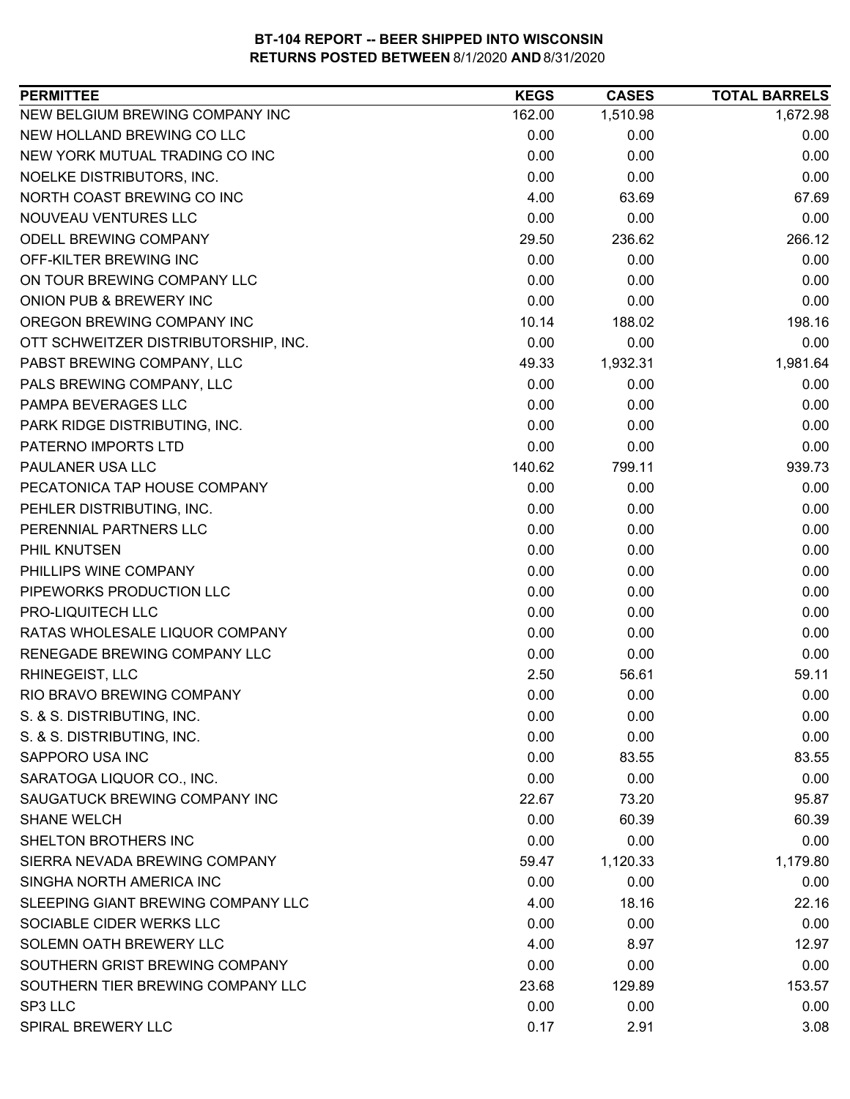| <b>PERMITTEE</b>                     | <b>KEGS</b> | <b>CASES</b> | <b>TOTAL BARRELS</b> |
|--------------------------------------|-------------|--------------|----------------------|
| NEW BELGIUM BREWING COMPANY INC      | 162.00      | 1,510.98     | 1,672.98             |
| NEW HOLLAND BREWING CO LLC           | 0.00        | 0.00         | 0.00                 |
| NEW YORK MUTUAL TRADING CO INC       | 0.00        | 0.00         | 0.00                 |
| NOELKE DISTRIBUTORS, INC.            | 0.00        | 0.00         | 0.00                 |
| NORTH COAST BREWING CO INC           | 4.00        | 63.69        | 67.69                |
| NOUVEAU VENTURES LLC                 | 0.00        | 0.00         | 0.00                 |
| ODELL BREWING COMPANY                | 29.50       | 236.62       | 266.12               |
| OFF-KILTER BREWING INC               | 0.00        | 0.00         | 0.00                 |
| ON TOUR BREWING COMPANY LLC          | 0.00        | 0.00         | 0.00                 |
| ONION PUB & BREWERY INC              | 0.00        | 0.00         | 0.00                 |
| OREGON BREWING COMPANY INC           | 10.14       | 188.02       | 198.16               |
| OTT SCHWEITZER DISTRIBUTORSHIP, INC. | 0.00        | 0.00         | 0.00                 |
| PABST BREWING COMPANY, LLC           | 49.33       | 1,932.31     | 1,981.64             |
| PALS BREWING COMPANY, LLC            | 0.00        | 0.00         | 0.00                 |
| PAMPA BEVERAGES LLC                  | 0.00        | 0.00         | 0.00                 |
| PARK RIDGE DISTRIBUTING, INC.        | 0.00        | 0.00         | 0.00                 |
| PATERNO IMPORTS LTD                  | 0.00        | 0.00         | 0.00                 |
| PAULANER USA LLC                     | 140.62      | 799.11       | 939.73               |
| PECATONICA TAP HOUSE COMPANY         | 0.00        | 0.00         | 0.00                 |
| PEHLER DISTRIBUTING, INC.            | 0.00        | 0.00         | 0.00                 |
| PERENNIAL PARTNERS LLC               | 0.00        | 0.00         | 0.00                 |
| PHIL KNUTSEN                         | 0.00        | 0.00         | 0.00                 |
| PHILLIPS WINE COMPANY                | 0.00        | 0.00         | 0.00                 |
| PIPEWORKS PRODUCTION LLC             | 0.00        | 0.00         | 0.00                 |
| PRO-LIQUITECH LLC                    | 0.00        | 0.00         | 0.00                 |
| RATAS WHOLESALE LIQUOR COMPANY       | 0.00        | 0.00         | 0.00                 |
| RENEGADE BREWING COMPANY LLC         | 0.00        | 0.00         | 0.00                 |
| RHINEGEIST, LLC                      | 2.50        | 56.61        | 59.11                |
| RIO BRAVO BREWING COMPANY            | 0.00        | 0.00         | 0.00                 |
| S. & S. DISTRIBUTING, INC.           | 0.00        | 0.00         | 0.00                 |
| S. & S. DISTRIBUTING, INC.           | 0.00        | 0.00         | 0.00                 |
| SAPPORO USA INC                      | 0.00        | 83.55        | 83.55                |
| SARATOGA LIQUOR CO., INC.            | 0.00        | 0.00         | 0.00                 |
| SAUGATUCK BREWING COMPANY INC        | 22.67       | 73.20        | 95.87                |
| <b>SHANE WELCH</b>                   | 0.00        | 60.39        | 60.39                |
| SHELTON BROTHERS INC                 | 0.00        | 0.00         | 0.00                 |
| SIERRA NEVADA BREWING COMPANY        | 59.47       | 1,120.33     | 1,179.80             |
| SINGHA NORTH AMERICA INC             | 0.00        | 0.00         | 0.00                 |
| SLEEPING GIANT BREWING COMPANY LLC   | 4.00        | 18.16        | 22.16                |
| SOCIABLE CIDER WERKS LLC             | 0.00        | 0.00         | 0.00                 |
| SOLEMN OATH BREWERY LLC              | 4.00        | 8.97         | 12.97                |
| SOUTHERN GRIST BREWING COMPANY       | 0.00        | 0.00         | 0.00                 |
| SOUTHERN TIER BREWING COMPANY LLC    | 23.68       | 129.89       | 153.57               |
| SP3 LLC                              | 0.00        | 0.00         | 0.00                 |
| SPIRAL BREWERY LLC                   | 0.17        | 2.91         | 3.08                 |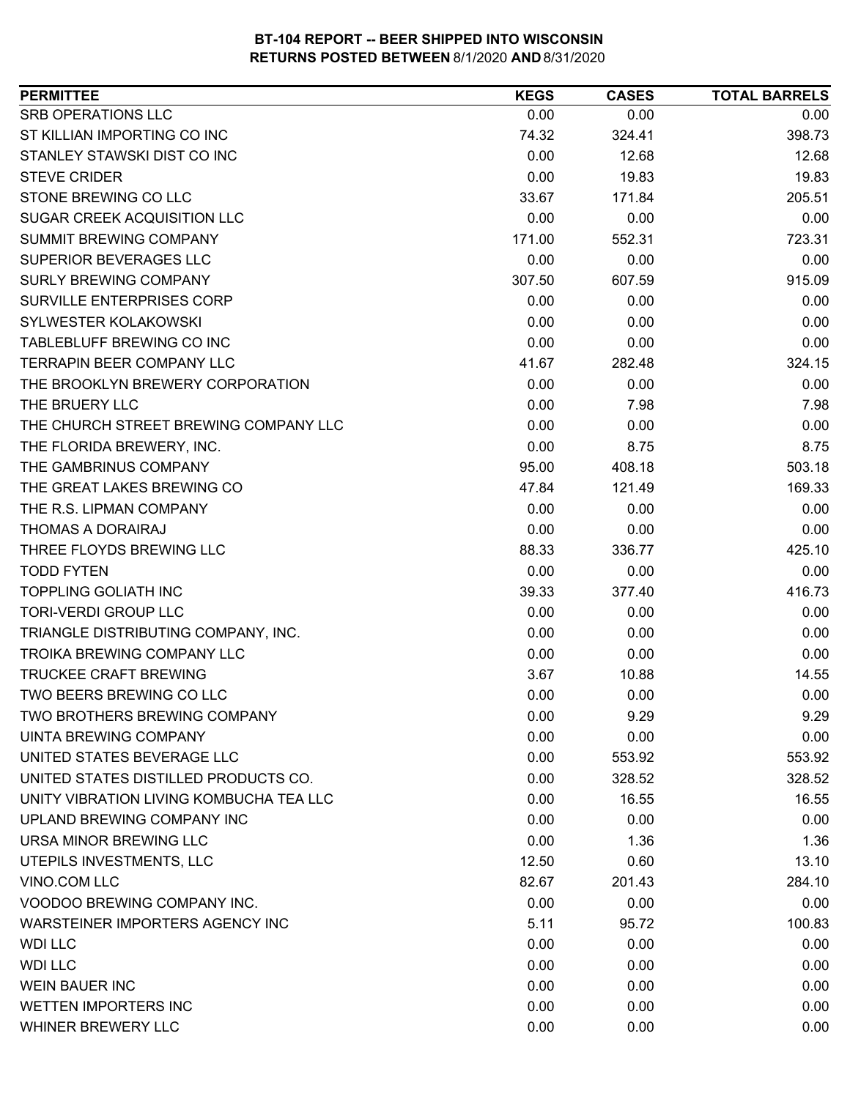| SRB OPERATIONS LLC<br>0.00<br>0.00<br>0.00<br>74.32<br>398.73<br>324.41<br>0.00<br>STANLEY STAWSKI DIST CO INC<br>12.68<br>12.68<br>0.00<br>19.83<br>19.83<br>STONE BREWING CO LLC<br>33.67<br>205.51<br>171.84<br>SUGAR CREEK ACQUISITION LLC<br>0.00<br>0.00<br>0.00<br><b>SUMMIT BREWING COMPANY</b><br>171.00<br>723.31<br>552.31<br>0.00<br>0.00<br>0.00<br>307.50<br>607.59<br>915.09<br>SURVILLE ENTERPRISES CORP<br>0.00<br>0.00<br>0.00<br>SYLWESTER KOLAKOWSKI<br>0.00<br>0.00<br>0.00<br>TABLEBLUFF BREWING CO INC<br>0.00<br>0.00<br>0.00<br><b>TERRAPIN BEER COMPANY LLC</b><br>41.67<br>282.48<br>324.15<br>THE BROOKLYN BREWERY CORPORATION<br>0.00<br>0.00<br>0.00<br>THE BRUERY LLC<br>0.00<br>7.98<br>7.98<br>THE CHURCH STREET BREWING COMPANY LLC<br>0.00<br>0.00<br>0.00<br>0.00<br>THE FLORIDA BREWERY, INC.<br>8.75<br>8.75<br>THE GAMBRINUS COMPANY<br>503.18<br>95.00<br>408.18<br>THE GREAT LAKES BREWING CO<br>121.49<br>169.33<br>47.84<br>THE R.S. LIPMAN COMPANY<br>0.00<br>0.00<br>0.00<br>0.00<br>THOMAS A DORAIRAJ<br>0.00<br>0.00<br>THREE FLOYDS BREWING LLC<br>425.10<br>88.33<br>336.77<br><b>TODD FYTEN</b><br>0.00<br>0.00<br>0.00<br><b>TOPPLING GOLIATH INC</b><br>377.40<br>416.73<br>39.33<br><b>TORI-VERDI GROUP LLC</b><br>0.00<br>0.00<br>0.00<br>TRIANGLE DISTRIBUTING COMPANY, INC.<br>0.00<br>0.00<br>0.00<br><b>TROIKA BREWING COMPANY LLC</b><br>0.00<br>0.00<br>0.00<br><b>TRUCKEE CRAFT BREWING</b><br>14.55<br>3.67<br>10.88<br>TWO BEERS BREWING CO LLC<br>0.00<br>0.00<br>0.00<br><b>TWO BROTHERS BREWING COMPANY</b><br>0.00<br>9.29<br>9.29<br>0.00<br>0.00<br>0.00<br>553.92<br>0.00<br>553.92<br>0.00<br>328.52<br>328.52<br>0.00<br>16.55<br>16.55<br>0.00<br>0.00<br>0.00<br>0.00<br>1.36<br>1.36<br>12.50<br>0.60<br>13.10<br>82.67<br>201.43<br>284.10<br>0.00<br>0.00<br>0.00<br>5.11<br>95.72<br>100.83<br>0.00<br>0.00<br>0.00 | <b>PERMITTEE</b>                        | <b>KEGS</b> | <b>CASES</b> | <b>TOTAL BARRELS</b> |
|---------------------------------------------------------------------------------------------------------------------------------------------------------------------------------------------------------------------------------------------------------------------------------------------------------------------------------------------------------------------------------------------------------------------------------------------------------------------------------------------------------------------------------------------------------------------------------------------------------------------------------------------------------------------------------------------------------------------------------------------------------------------------------------------------------------------------------------------------------------------------------------------------------------------------------------------------------------------------------------------------------------------------------------------------------------------------------------------------------------------------------------------------------------------------------------------------------------------------------------------------------------------------------------------------------------------------------------------------------------------------------------------------------------------------------------------------------------------------------------------------------------------------------------------------------------------------------------------------------------------------------------------------------------------------------------------------------------------------------------------------------------------------------------------------------------------------------------------------------------------------------------------------|-----------------------------------------|-------------|--------------|----------------------|
|                                                                                                                                                                                                                                                                                                                                                                                                                                                                                                                                                                                                                                                                                                                                                                                                                                                                                                                                                                                                                                                                                                                                                                                                                                                                                                                                                                                                                                                                                                                                                                                                                                                                                                                                                                                                                                                                                                   |                                         |             |              |                      |
|                                                                                                                                                                                                                                                                                                                                                                                                                                                                                                                                                                                                                                                                                                                                                                                                                                                                                                                                                                                                                                                                                                                                                                                                                                                                                                                                                                                                                                                                                                                                                                                                                                                                                                                                                                                                                                                                                                   | ST KILLIAN IMPORTING CO INC             |             |              |                      |
|                                                                                                                                                                                                                                                                                                                                                                                                                                                                                                                                                                                                                                                                                                                                                                                                                                                                                                                                                                                                                                                                                                                                                                                                                                                                                                                                                                                                                                                                                                                                                                                                                                                                                                                                                                                                                                                                                                   |                                         |             |              |                      |
|                                                                                                                                                                                                                                                                                                                                                                                                                                                                                                                                                                                                                                                                                                                                                                                                                                                                                                                                                                                                                                                                                                                                                                                                                                                                                                                                                                                                                                                                                                                                                                                                                                                                                                                                                                                                                                                                                                   | <b>STEVE CRIDER</b>                     |             |              |                      |
|                                                                                                                                                                                                                                                                                                                                                                                                                                                                                                                                                                                                                                                                                                                                                                                                                                                                                                                                                                                                                                                                                                                                                                                                                                                                                                                                                                                                                                                                                                                                                                                                                                                                                                                                                                                                                                                                                                   |                                         |             |              |                      |
|                                                                                                                                                                                                                                                                                                                                                                                                                                                                                                                                                                                                                                                                                                                                                                                                                                                                                                                                                                                                                                                                                                                                                                                                                                                                                                                                                                                                                                                                                                                                                                                                                                                                                                                                                                                                                                                                                                   |                                         |             |              |                      |
|                                                                                                                                                                                                                                                                                                                                                                                                                                                                                                                                                                                                                                                                                                                                                                                                                                                                                                                                                                                                                                                                                                                                                                                                                                                                                                                                                                                                                                                                                                                                                                                                                                                                                                                                                                                                                                                                                                   |                                         |             |              |                      |
|                                                                                                                                                                                                                                                                                                                                                                                                                                                                                                                                                                                                                                                                                                                                                                                                                                                                                                                                                                                                                                                                                                                                                                                                                                                                                                                                                                                                                                                                                                                                                                                                                                                                                                                                                                                                                                                                                                   | SUPERIOR BEVERAGES LLC                  |             |              |                      |
|                                                                                                                                                                                                                                                                                                                                                                                                                                                                                                                                                                                                                                                                                                                                                                                                                                                                                                                                                                                                                                                                                                                                                                                                                                                                                                                                                                                                                                                                                                                                                                                                                                                                                                                                                                                                                                                                                                   | <b>SURLY BREWING COMPANY</b>            |             |              |                      |
|                                                                                                                                                                                                                                                                                                                                                                                                                                                                                                                                                                                                                                                                                                                                                                                                                                                                                                                                                                                                                                                                                                                                                                                                                                                                                                                                                                                                                                                                                                                                                                                                                                                                                                                                                                                                                                                                                                   |                                         |             |              |                      |
|                                                                                                                                                                                                                                                                                                                                                                                                                                                                                                                                                                                                                                                                                                                                                                                                                                                                                                                                                                                                                                                                                                                                                                                                                                                                                                                                                                                                                                                                                                                                                                                                                                                                                                                                                                                                                                                                                                   |                                         |             |              |                      |
|                                                                                                                                                                                                                                                                                                                                                                                                                                                                                                                                                                                                                                                                                                                                                                                                                                                                                                                                                                                                                                                                                                                                                                                                                                                                                                                                                                                                                                                                                                                                                                                                                                                                                                                                                                                                                                                                                                   |                                         |             |              |                      |
|                                                                                                                                                                                                                                                                                                                                                                                                                                                                                                                                                                                                                                                                                                                                                                                                                                                                                                                                                                                                                                                                                                                                                                                                                                                                                                                                                                                                                                                                                                                                                                                                                                                                                                                                                                                                                                                                                                   |                                         |             |              |                      |
|                                                                                                                                                                                                                                                                                                                                                                                                                                                                                                                                                                                                                                                                                                                                                                                                                                                                                                                                                                                                                                                                                                                                                                                                                                                                                                                                                                                                                                                                                                                                                                                                                                                                                                                                                                                                                                                                                                   |                                         |             |              |                      |
|                                                                                                                                                                                                                                                                                                                                                                                                                                                                                                                                                                                                                                                                                                                                                                                                                                                                                                                                                                                                                                                                                                                                                                                                                                                                                                                                                                                                                                                                                                                                                                                                                                                                                                                                                                                                                                                                                                   |                                         |             |              |                      |
|                                                                                                                                                                                                                                                                                                                                                                                                                                                                                                                                                                                                                                                                                                                                                                                                                                                                                                                                                                                                                                                                                                                                                                                                                                                                                                                                                                                                                                                                                                                                                                                                                                                                                                                                                                                                                                                                                                   |                                         |             |              |                      |
|                                                                                                                                                                                                                                                                                                                                                                                                                                                                                                                                                                                                                                                                                                                                                                                                                                                                                                                                                                                                                                                                                                                                                                                                                                                                                                                                                                                                                                                                                                                                                                                                                                                                                                                                                                                                                                                                                                   |                                         |             |              |                      |
|                                                                                                                                                                                                                                                                                                                                                                                                                                                                                                                                                                                                                                                                                                                                                                                                                                                                                                                                                                                                                                                                                                                                                                                                                                                                                                                                                                                                                                                                                                                                                                                                                                                                                                                                                                                                                                                                                                   |                                         |             |              |                      |
|                                                                                                                                                                                                                                                                                                                                                                                                                                                                                                                                                                                                                                                                                                                                                                                                                                                                                                                                                                                                                                                                                                                                                                                                                                                                                                                                                                                                                                                                                                                                                                                                                                                                                                                                                                                                                                                                                                   |                                         |             |              |                      |
|                                                                                                                                                                                                                                                                                                                                                                                                                                                                                                                                                                                                                                                                                                                                                                                                                                                                                                                                                                                                                                                                                                                                                                                                                                                                                                                                                                                                                                                                                                                                                                                                                                                                                                                                                                                                                                                                                                   |                                         |             |              |                      |
|                                                                                                                                                                                                                                                                                                                                                                                                                                                                                                                                                                                                                                                                                                                                                                                                                                                                                                                                                                                                                                                                                                                                                                                                                                                                                                                                                                                                                                                                                                                                                                                                                                                                                                                                                                                                                                                                                                   |                                         |             |              |                      |
|                                                                                                                                                                                                                                                                                                                                                                                                                                                                                                                                                                                                                                                                                                                                                                                                                                                                                                                                                                                                                                                                                                                                                                                                                                                                                                                                                                                                                                                                                                                                                                                                                                                                                                                                                                                                                                                                                                   |                                         |             |              |                      |
|                                                                                                                                                                                                                                                                                                                                                                                                                                                                                                                                                                                                                                                                                                                                                                                                                                                                                                                                                                                                                                                                                                                                                                                                                                                                                                                                                                                                                                                                                                                                                                                                                                                                                                                                                                                                                                                                                                   |                                         |             |              |                      |
|                                                                                                                                                                                                                                                                                                                                                                                                                                                                                                                                                                                                                                                                                                                                                                                                                                                                                                                                                                                                                                                                                                                                                                                                                                                                                                                                                                                                                                                                                                                                                                                                                                                                                                                                                                                                                                                                                                   |                                         |             |              |                      |
|                                                                                                                                                                                                                                                                                                                                                                                                                                                                                                                                                                                                                                                                                                                                                                                                                                                                                                                                                                                                                                                                                                                                                                                                                                                                                                                                                                                                                                                                                                                                                                                                                                                                                                                                                                                                                                                                                                   |                                         |             |              |                      |
|                                                                                                                                                                                                                                                                                                                                                                                                                                                                                                                                                                                                                                                                                                                                                                                                                                                                                                                                                                                                                                                                                                                                                                                                                                                                                                                                                                                                                                                                                                                                                                                                                                                                                                                                                                                                                                                                                                   |                                         |             |              |                      |
|                                                                                                                                                                                                                                                                                                                                                                                                                                                                                                                                                                                                                                                                                                                                                                                                                                                                                                                                                                                                                                                                                                                                                                                                                                                                                                                                                                                                                                                                                                                                                                                                                                                                                                                                                                                                                                                                                                   |                                         |             |              |                      |
|                                                                                                                                                                                                                                                                                                                                                                                                                                                                                                                                                                                                                                                                                                                                                                                                                                                                                                                                                                                                                                                                                                                                                                                                                                                                                                                                                                                                                                                                                                                                                                                                                                                                                                                                                                                                                                                                                                   |                                         |             |              |                      |
|                                                                                                                                                                                                                                                                                                                                                                                                                                                                                                                                                                                                                                                                                                                                                                                                                                                                                                                                                                                                                                                                                                                                                                                                                                                                                                                                                                                                                                                                                                                                                                                                                                                                                                                                                                                                                                                                                                   |                                         |             |              |                      |
|                                                                                                                                                                                                                                                                                                                                                                                                                                                                                                                                                                                                                                                                                                                                                                                                                                                                                                                                                                                                                                                                                                                                                                                                                                                                                                                                                                                                                                                                                                                                                                                                                                                                                                                                                                                                                                                                                                   |                                         |             |              |                      |
|                                                                                                                                                                                                                                                                                                                                                                                                                                                                                                                                                                                                                                                                                                                                                                                                                                                                                                                                                                                                                                                                                                                                                                                                                                                                                                                                                                                                                                                                                                                                                                                                                                                                                                                                                                                                                                                                                                   | UINTA BREWING COMPANY                   |             |              |                      |
|                                                                                                                                                                                                                                                                                                                                                                                                                                                                                                                                                                                                                                                                                                                                                                                                                                                                                                                                                                                                                                                                                                                                                                                                                                                                                                                                                                                                                                                                                                                                                                                                                                                                                                                                                                                                                                                                                                   | UNITED STATES BEVERAGE LLC              |             |              |                      |
|                                                                                                                                                                                                                                                                                                                                                                                                                                                                                                                                                                                                                                                                                                                                                                                                                                                                                                                                                                                                                                                                                                                                                                                                                                                                                                                                                                                                                                                                                                                                                                                                                                                                                                                                                                                                                                                                                                   | UNITED STATES DISTILLED PRODUCTS CO.    |             |              |                      |
|                                                                                                                                                                                                                                                                                                                                                                                                                                                                                                                                                                                                                                                                                                                                                                                                                                                                                                                                                                                                                                                                                                                                                                                                                                                                                                                                                                                                                                                                                                                                                                                                                                                                                                                                                                                                                                                                                                   | UNITY VIBRATION LIVING KOMBUCHA TEA LLC |             |              |                      |
|                                                                                                                                                                                                                                                                                                                                                                                                                                                                                                                                                                                                                                                                                                                                                                                                                                                                                                                                                                                                                                                                                                                                                                                                                                                                                                                                                                                                                                                                                                                                                                                                                                                                                                                                                                                                                                                                                                   | UPLAND BREWING COMPANY INC              |             |              |                      |
|                                                                                                                                                                                                                                                                                                                                                                                                                                                                                                                                                                                                                                                                                                                                                                                                                                                                                                                                                                                                                                                                                                                                                                                                                                                                                                                                                                                                                                                                                                                                                                                                                                                                                                                                                                                                                                                                                                   | URSA MINOR BREWING LLC                  |             |              |                      |
|                                                                                                                                                                                                                                                                                                                                                                                                                                                                                                                                                                                                                                                                                                                                                                                                                                                                                                                                                                                                                                                                                                                                                                                                                                                                                                                                                                                                                                                                                                                                                                                                                                                                                                                                                                                                                                                                                                   | UTEPILS INVESTMENTS, LLC                |             |              |                      |
|                                                                                                                                                                                                                                                                                                                                                                                                                                                                                                                                                                                                                                                                                                                                                                                                                                                                                                                                                                                                                                                                                                                                                                                                                                                                                                                                                                                                                                                                                                                                                                                                                                                                                                                                                                                                                                                                                                   | VINO.COM LLC                            |             |              |                      |
|                                                                                                                                                                                                                                                                                                                                                                                                                                                                                                                                                                                                                                                                                                                                                                                                                                                                                                                                                                                                                                                                                                                                                                                                                                                                                                                                                                                                                                                                                                                                                                                                                                                                                                                                                                                                                                                                                                   | VOODOO BREWING COMPANY INC.             |             |              |                      |
|                                                                                                                                                                                                                                                                                                                                                                                                                                                                                                                                                                                                                                                                                                                                                                                                                                                                                                                                                                                                                                                                                                                                                                                                                                                                                                                                                                                                                                                                                                                                                                                                                                                                                                                                                                                                                                                                                                   | WARSTEINER IMPORTERS AGENCY INC         |             |              |                      |
|                                                                                                                                                                                                                                                                                                                                                                                                                                                                                                                                                                                                                                                                                                                                                                                                                                                                                                                                                                                                                                                                                                                                                                                                                                                                                                                                                                                                                                                                                                                                                                                                                                                                                                                                                                                                                                                                                                   | <b>WDI LLC</b>                          |             |              |                      |
|                                                                                                                                                                                                                                                                                                                                                                                                                                                                                                                                                                                                                                                                                                                                                                                                                                                                                                                                                                                                                                                                                                                                                                                                                                                                                                                                                                                                                                                                                                                                                                                                                                                                                                                                                                                                                                                                                                   | <b>WDI LLC</b>                          | 0.00        | 0.00         | 0.00                 |
| 0.00<br>0.00<br>0.00                                                                                                                                                                                                                                                                                                                                                                                                                                                                                                                                                                                                                                                                                                                                                                                                                                                                                                                                                                                                                                                                                                                                                                                                                                                                                                                                                                                                                                                                                                                                                                                                                                                                                                                                                                                                                                                                              | <b>WEIN BAUER INC</b>                   |             |              |                      |
| 0.00<br>0.00<br>0.00                                                                                                                                                                                                                                                                                                                                                                                                                                                                                                                                                                                                                                                                                                                                                                                                                                                                                                                                                                                                                                                                                                                                                                                                                                                                                                                                                                                                                                                                                                                                                                                                                                                                                                                                                                                                                                                                              | <b>WETTEN IMPORTERS INC</b>             |             |              |                      |
| 0.00<br>0.00<br>0.00                                                                                                                                                                                                                                                                                                                                                                                                                                                                                                                                                                                                                                                                                                                                                                                                                                                                                                                                                                                                                                                                                                                                                                                                                                                                                                                                                                                                                                                                                                                                                                                                                                                                                                                                                                                                                                                                              | WHINER BREWERY LLC                      |             |              |                      |